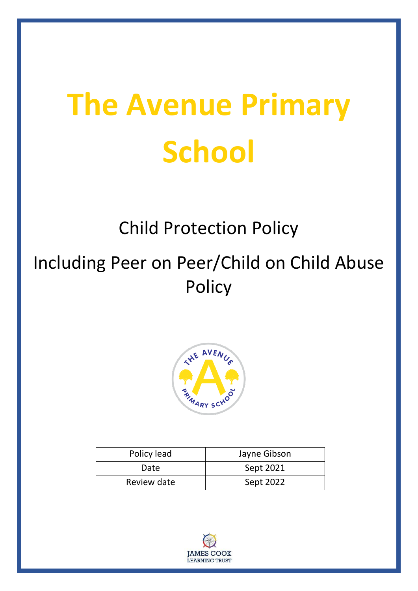# **The Avenue Primary School**

# Child Protection Policy

# Including Peer on Peer/Child on Child Abuse **Policy**



| Policy lead | Jayne Gibson |
|-------------|--------------|
| Date        | Sept 2021    |
| Review date | Sept 2022    |

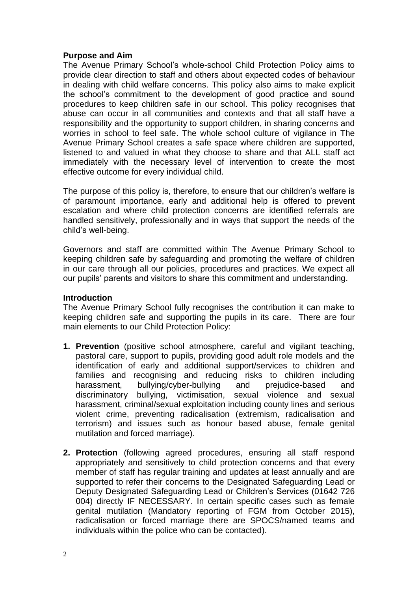#### **Purpose and Aim**

The Avenue Primary School's whole-school Child Protection Policy aims to provide clear direction to staff and others about expected codes of behaviour in dealing with child welfare concerns. This policy also aims to make explicit the school's commitment to the development of good practice and sound procedures to keep children safe in our school. This policy recognises that abuse can occur in all communities and contexts and that all staff have a responsibility and the opportunity to support children, in sharing concerns and worries in school to feel safe. The whole school culture of vigilance in The Avenue Primary School creates a safe space where children are supported, listened to and valued in what they choose to share and that ALL staff act immediately with the necessary level of intervention to create the most effective outcome for every individual child.

The purpose of this policy is, therefore, to ensure that our children's welfare is of paramount importance, early and additional help is offered to prevent escalation and where child protection concerns are identified referrals are handled sensitively, professionally and in ways that support the needs of the child's well-being.

Governors and staff are committed within The Avenue Primary School to keeping children safe by safeguarding and promoting the welfare of children in our care through all our policies, procedures and practices. We expect all our pupils' parents and visitors to share this commitment and understanding.

#### **Introduction**

The Avenue Primary School fully recognises the contribution it can make to keeping children safe and supporting the pupils in its care. There are four main elements to our Child Protection Policy:

- **1. Prevention** (positive school atmosphere, careful and vigilant teaching, pastoral care, support to pupils, providing good adult role models and the identification of early and additional support/services to children and families and recognising and reducing risks to children including harassment, bullying/cyber-bullying and prejudice-based and discriminatory bullying, victimisation, sexual violence and sexual harassment, criminal/sexual exploitation including county lines and serious violent crime, preventing radicalisation (extremism, radicalisation and terrorism) and issues such as honour based abuse, female genital mutilation and forced marriage).
- **2. Protection** (following agreed procedures, ensuring all staff respond appropriately and sensitively to child protection concerns and that every member of staff has regular training and updates at least annually and are supported to refer their concerns to the Designated Safeguarding Lead or Deputy Designated Safeguarding Lead or Children's Services (01642 726 004) directly IF NECESSARY. In certain specific cases such as female genital mutilation (Mandatory reporting of FGM from October 2015), radicalisation or forced marriage there are SPOCS/named teams and individuals within the police who can be contacted).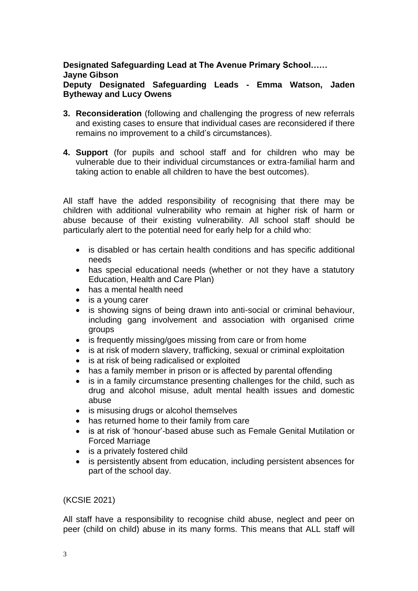#### **Designated Safeguarding Lead at The Avenue Primary School…… Jayne Gibson Deputy Designated Safeguarding Leads - Emma Watson, Jaden Bytheway and Lucy Owens**

- **3. Reconsideration** (following and challenging the progress of new referrals and existing cases to ensure that individual cases are reconsidered if there remains no improvement to a child's circumstances).
- **4. Support** (for pupils and school staff and for children who may be vulnerable due to their individual circumstances or extra-familial harm and taking action to enable all children to have the best outcomes).

All staff have the added responsibility of recognising that there may be children with additional vulnerability who remain at higher risk of harm or abuse because of their existing vulnerability. All school staff should be particularly alert to the potential need for early help for a child who:

- is disabled or has certain health conditions and has specific additional needs
- has special educational needs (whether or not they have a statutory Education, Health and Care Plan)
- has a mental health need
- is a young carer
- is showing signs of being drawn into anti-social or criminal behaviour, including gang involvement and association with organised crime groups
- is frequently missing/goes missing from care or from home
- is at risk of modern slavery, trafficking, sexual or criminal exploitation
- is at risk of being radicalised or exploited
- has a family member in prison or is affected by parental offending
- is in a family circumstance presenting challenges for the child, such as drug and alcohol misuse, adult mental health issues and domestic abuse
- is misusing drugs or alcohol themselves
- has returned home to their family from care
- is at risk of 'honour'-based abuse such as Female Genital Mutilation or Forced Marriage
- is a privately fostered child
- is persistently absent from education, including persistent absences for part of the school day.

#### (KCSIE 2021)

All staff have a responsibility to recognise child abuse, neglect and peer on peer (child on child) abuse in its many forms. This means that ALL staff will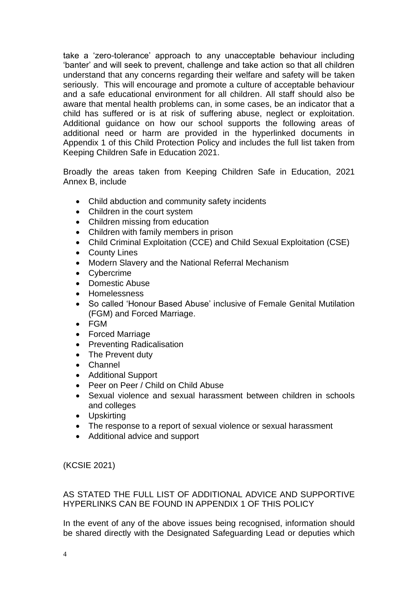take a 'zero-tolerance' approach to any unacceptable behaviour including 'banter' and will seek to prevent, challenge and take action so that all children understand that any concerns regarding their welfare and safety will be taken seriously. This will encourage and promote a culture of acceptable behaviour and a safe educational environment for all children. All staff should also be aware that mental health problems can, in some cases, be an indicator that a child has suffered or is at risk of suffering abuse, neglect or exploitation. Additional guidance on how our school supports the following areas of additional need or harm are provided in the hyperlinked documents in Appendix 1 of this Child Protection Policy and includes the full list taken from Keeping Children Safe in Education 2021.

Broadly the areas taken from Keeping Children Safe in Education, 2021 Annex B, include

- Child abduction and community safety incidents
- Children in the court system
- Children missing from education
- Children with family members in prison
- Child Criminal Exploitation (CCE) and Child Sexual Exploitation (CSE)
- County Lines
- Modern Slavery and the National Referral Mechanism
- Cybercrime
- Domestic Abuse
- Homelessness
- So called 'Honour Based Abuse' inclusive of Female Genital Mutilation (FGM) and Forced Marriage.
- FGM
- Forced Marriage
- Preventing Radicalisation
- The Prevent duty
- Channel
- Additional Support
- Peer on Peer / Child on Child Abuse
- Sexual violence and sexual harassment between children in schools and colleges
- Upskirting
- The response to a report of sexual violence or sexual harassment
- Additional advice and support

(KCSIE 2021)

AS STATED THE FULL LIST OF ADDITIONAL ADVICE AND SUPPORTIVE HYPERLINKS CAN BE FOUND IN APPENDIX 1 OF THIS POLICY

In the event of any of the above issues being recognised, information should be shared directly with the Designated Safeguarding Lead or deputies which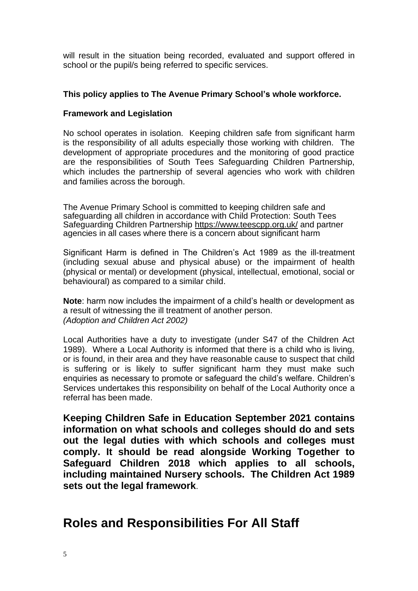will result in the situation being recorded, evaluated and support offered in school or the pupil/s being referred to specific services.

#### **This policy applies to The Avenue Primary School's whole workforce.**

#### **Framework and Legislation**

No school operates in isolation. Keeping children safe from significant harm is the responsibility of all adults especially those working with children. The development of appropriate procedures and the monitoring of good practice are the responsibilities of South Tees Safeguarding Children Partnership, which includes the partnership of several agencies who work with children and families across the borough.

The Avenue Primary School is committed to keeping children safe and safeguarding all children in accordance with Child Protection: South Tees Safeguarding Children Partnership <https://www.teescpp.org.uk/> and partner agencies in all cases where there is a concern about significant harm

Significant Harm is defined in The Children's Act 1989 as the ill-treatment (including sexual abuse and physical abuse) or the impairment of health (physical or mental) or development (physical, intellectual, emotional, social or behavioural) as compared to a similar child.

**Note**: harm now includes the impairment of a child's health or development as a result of witnessing the ill treatment of another person. *(Adoption and Children Act 2002)*

Local Authorities have a duty to investigate (under S47 of the Children Act 1989). Where a Local Authority is informed that there is a child who is living, or is found, in their area and they have reasonable cause to suspect that child is suffering or is likely to suffer significant harm they must make such enquiries as necessary to promote or safeguard the child's welfare. Children's Services undertakes this responsibility on behalf of the Local Authority once a referral has been made.

**Keeping Children Safe in Education September 2021 contains information on what schools and colleges should do and sets out the legal duties with which schools and colleges must comply. It should be read alongside Working Together to Safeguard Children 2018 which applies to all schools, including maintained Nursery schools. The Children Act 1989 sets out the legal framework**.

### **Roles and Responsibilities For All Staff**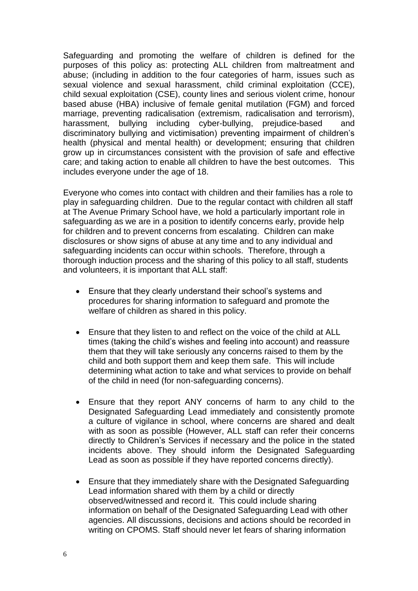Safeguarding and promoting the welfare of children is defined for the purposes of this policy as: protecting ALL children from maltreatment and abuse; (including in addition to the four categories of harm, issues such as sexual violence and sexual harassment, child criminal exploitation (CCE), child sexual exploitation (CSE), county lines and serious violent crime, honour based abuse (HBA) inclusive of female genital mutilation (FGM) and forced marriage, preventing radicalisation (extremism, radicalisation and terrorism), harassment, bullying including cyber-bullying, prejudice-based and discriminatory bullying and victimisation) preventing impairment of children's health (physical and mental health) or development; ensuring that children grow up in circumstances consistent with the provision of safe and effective care; and taking action to enable all children to have the best outcomes. This includes everyone under the age of 18.

Everyone who comes into contact with children and their families has a role to play in safeguarding children. Due to the regular contact with children all staff at The Avenue Primary School have, we hold a particularly important role in safeguarding as we are in a position to identify concerns early, provide help for children and to prevent concerns from escalating. Children can make disclosures or show signs of abuse at any time and to any individual and safeguarding incidents can occur within schools. Therefore, through a thorough induction process and the sharing of this policy to all staff, students and volunteers, it is important that ALL staff:

- Ensure that they clearly understand their school's systems and procedures for sharing information to safeguard and promote the welfare of children as shared in this policy.
- Ensure that they listen to and reflect on the voice of the child at ALL times (taking the child's wishes and feeling into account) and reassure them that they will take seriously any concerns raised to them by the child and both support them and keep them safe. This will include determining what action to take and what services to provide on behalf of the child in need (for non-safeguarding concerns).
- Ensure that they report ANY concerns of harm to any child to the Designated Safeguarding Lead immediately and consistently promote a culture of vigilance in school, where concerns are shared and dealt with as soon as possible (However, ALL staff can refer their concerns directly to Children's Services if necessary and the police in the stated incidents above. They should inform the Designated Safeguarding Lead as soon as possible if they have reported concerns directly).
- Ensure that they immediately share with the Designated Safeguarding Lead information shared with them by a child or directly observed/witnessed and record it. This could include sharing information on behalf of the Designated Safeguarding Lead with other agencies. All discussions, decisions and actions should be recorded in writing on CPOMS. Staff should never let fears of sharing information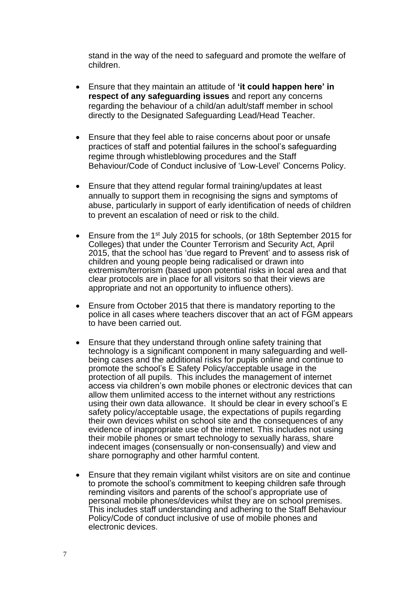stand in the way of the need to safeguard and promote the welfare of children.

- Ensure that they maintain an attitude of **'it could happen here' in respect of any safeguarding issues** and report any concerns regarding the behaviour of a child/an adult/staff member in school directly to the Designated Safeguarding Lead/Head Teacher.
- Ensure that they feel able to raise concerns about poor or unsafe practices of staff and potential failures in the school's safeguarding regime through whistleblowing procedures and the Staff Behaviour/Code of Conduct inclusive of 'Low-Level' Concerns Policy.
- Ensure that they attend regular formal training/updates at least annually to support them in recognising the signs and symptoms of abuse, particularly in support of early identification of needs of children to prevent an escalation of need or risk to the child.
- Ensure from the 1st July 2015 for schools, (or 18th September 2015 for Colleges) that under the Counter Terrorism and Security Act, April 2015, that the school has 'due regard to Prevent' and to assess risk of children and young people being radicalised or drawn into extremism/terrorism (based upon potential risks in local area and that clear protocols are in place for all visitors so that their views are appropriate and not an opportunity to influence others).
- Ensure from October 2015 that there is mandatory reporting to the police in all cases where teachers discover that an act of FGM appears to have been carried out.
- Ensure that they understand through online safety training that technology is a significant component in many safeguarding and wellbeing cases and the additional risks for pupils online and continue to promote the school's E Safety Policy/acceptable usage in the protection of all pupils. This includes the management of internet access via children's own mobile phones or electronic devices that can allow them unlimited access to the internet without any restrictions using their own data allowance. It should be clear in every school's E safety policy/acceptable usage, the expectations of pupils regarding their own devices whilst on school site and the consequences of any evidence of inappropriate use of the internet. This includes not using their mobile phones or smart technology to sexually harass, share indecent images (consensually or non-consensually) and view and share pornography and other harmful content.
- Ensure that they remain vigilant whilst visitors are on site and continue to promote the school's commitment to keeping children safe through reminding visitors and parents of the school's appropriate use of personal mobile phones/devices whilst they are on school premises. This includes staff understanding and adhering to the Staff Behaviour Policy/Code of conduct inclusive of use of mobile phones and electronic devices.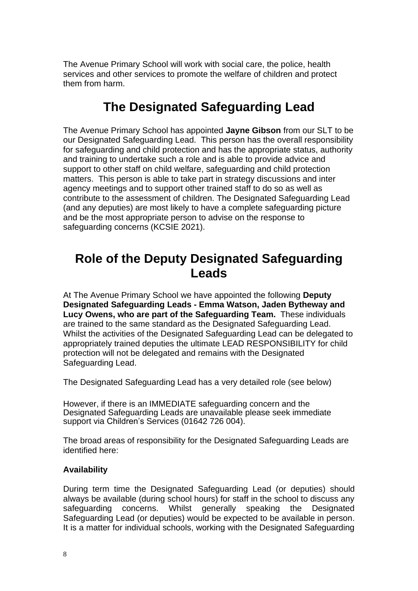The Avenue Primary School will work with social care, the police, health services and other services to promote the welfare of children and protect them from harm.

# **The Designated Safeguarding Lead**

The Avenue Primary School has appointed **Jayne Gibson** from our SLT to be our Designated Safeguarding Lead. This person has the overall responsibility for safeguarding and child protection and has the appropriate status, authority and training to undertake such a role and is able to provide advice and support to other staff on child welfare, safeguarding and child protection matters. This person is able to take part in strategy discussions and inter agency meetings and to support other trained staff to do so as well as contribute to the assessment of children. The Designated Safeguarding Lead (and any deputies) are most likely to have a complete safeguarding picture and be the most appropriate person to advise on the response to safeguarding concerns (KCSIE 2021).

## **Role of the Deputy Designated Safeguarding Leads**

At The Avenue Primary School we have appointed the following **Deputy Designated Safeguarding Leads - Emma Watson, Jaden Bytheway and Lucy Owens, who are part of the Safeguarding Team.** These individuals are trained to the same standard as the Designated Safeguarding Lead. Whilst the activities of the Designated Safeguarding Lead can be delegated to appropriately trained deputies the ultimate LEAD RESPONSIBILITY for child protection will not be delegated and remains with the Designated Safeguarding Lead.

The Designated Safeguarding Lead has a very detailed role (see below)

However, if there is an IMMEDIATE safeguarding concern and the Designated Safeguarding Leads are unavailable please seek immediate support via Children's Services (01642 726 004).

The broad areas of responsibility for the Designated Safeguarding Leads are identified here:

#### **Availability**

During term time the Designated Safeguarding Lead (or deputies) should always be available (during school hours) for staff in the school to discuss any safeguarding concerns. Whilst generally speaking the Designated Safeguarding Lead (or deputies) would be expected to be available in person. It is a matter for individual schools, working with the Designated Safeguarding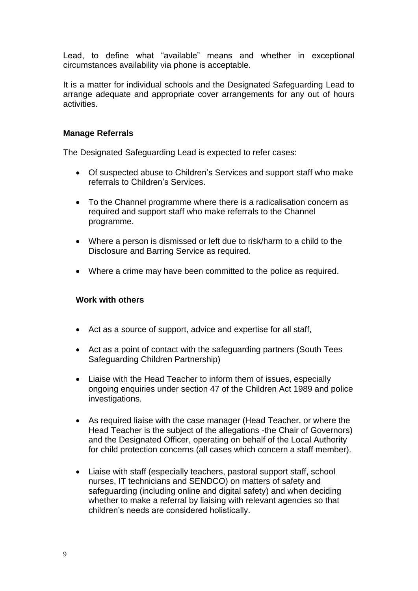Lead, to define what "available" means and whether in exceptional circumstances availability via phone is acceptable.

It is a matter for individual schools and the Designated Safeguarding Lead to arrange adequate and appropriate cover arrangements for any out of hours activities.

#### **Manage Referrals**

The Designated Safeguarding Lead is expected to refer cases:

- Of suspected abuse to Children's Services and support staff who make referrals to Children's Services.
- To the Channel programme where there is a radicalisation concern as required and support staff who make referrals to the Channel programme.
- Where a person is dismissed or left due to risk/harm to a child to the Disclosure and Barring Service as required.
- Where a crime may have been committed to the police as required.

#### **Work with others**

- Act as a source of support, advice and expertise for all staff,
- Act as a point of contact with the safeguarding partners (South Tees Safeguarding Children Partnership)
- Liaise with the Head Teacher to inform them of issues, especially ongoing enquiries under section 47 of the Children Act 1989 and police investigations.
- As required liaise with the case manager (Head Teacher, or where the Head Teacher is the subject of the allegations -the Chair of Governors) and the Designated Officer, operating on behalf of the Local Authority for child protection concerns (all cases which concern a staff member).
- Liaise with staff (especially teachers, pastoral support staff, school nurses, IT technicians and SENDCO) on matters of safety and safeguarding (including online and digital safety) and when deciding whether to make a referral by liaising with relevant agencies so that children's needs are considered holistically.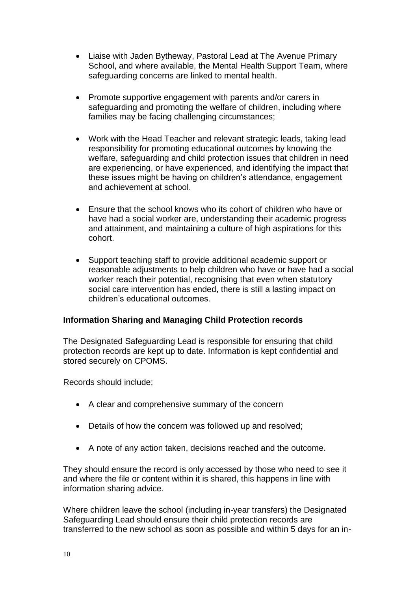- Liaise with Jaden Bytheway, Pastoral Lead at The Avenue Primary School, and where available, the Mental Health Support Team, where safeguarding concerns are linked to mental health.
- Promote supportive engagement with parents and/or carers in safeguarding and promoting the welfare of children, including where families may be facing challenging circumstances;
- Work with the Head Teacher and relevant strategic leads, taking lead responsibility for promoting educational outcomes by knowing the welfare, safeguarding and child protection issues that children in need are experiencing, or have experienced, and identifying the impact that these issues might be having on children's attendance, engagement and achievement at school.
- Ensure that the school knows who its cohort of children who have or have had a social worker are, understanding their academic progress and attainment, and maintaining a culture of high aspirations for this cohort.
- Support teaching staff to provide additional academic support or reasonable adjustments to help children who have or have had a social worker reach their potential, recognising that even when statutory social care intervention has ended, there is still a lasting impact on children's educational outcomes.

#### **Information Sharing and Managing Child Protection records**

The Designated Safeguarding Lead is responsible for ensuring that child protection records are kept up to date. Information is kept confidential and stored securely on CPOMS.

Records should include:

- A clear and comprehensive summary of the concern
- Details of how the concern was followed up and resolved;
- A note of any action taken, decisions reached and the outcome.

They should ensure the record is only accessed by those who need to see it and where the file or content within it is shared, this happens in line with information sharing advice.

Where children leave the school (including in-year transfers) the Designated Safeguarding Lead should ensure their child protection records are transferred to the new school as soon as possible and within 5 days for an in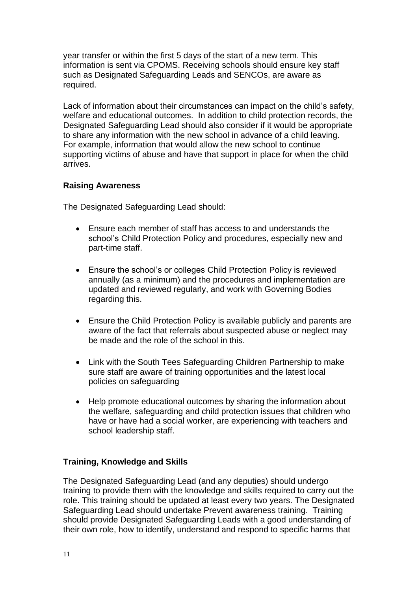year transfer or within the first 5 days of the start of a new term. This information is sent via CPOMS. Receiving schools should ensure key staff such as Designated Safeguarding Leads and SENCOs, are aware as required.

Lack of information about their circumstances can impact on the child's safety, welfare and educational outcomes. In addition to child protection records, the Designated Safeguarding Lead should also consider if it would be appropriate to share any information with the new school in advance of a child leaving. For example, information that would allow the new school to continue supporting victims of abuse and have that support in place for when the child arrives.

#### **Raising Awareness**

The Designated Safeguarding Lead should:

- Ensure each member of staff has access to and understands the school's Child Protection Policy and procedures, especially new and part-time staff.
- Ensure the school's or colleges Child Protection Policy is reviewed annually (as a minimum) and the procedures and implementation are updated and reviewed regularly, and work with Governing Bodies regarding this.
- Ensure the Child Protection Policy is available publicly and parents are aware of the fact that referrals about suspected abuse or neglect may be made and the role of the school in this.
- Link with the South Tees Safeguarding Children Partnership to make sure staff are aware of training opportunities and the latest local policies on safeguarding
- Help promote educational outcomes by sharing the information about the welfare, safeguarding and child protection issues that children who have or have had a social worker, are experiencing with teachers and school leadership staff.

#### **Training, Knowledge and Skills**

The Designated Safeguarding Lead (and any deputies) should undergo training to provide them with the knowledge and skills required to carry out the role. This training should be updated at least every two years. The Designated Safeguarding Lead should undertake Prevent awareness training. Training should provide Designated Safeguarding Leads with a good understanding of their own role, how to identify, understand and respond to specific harms that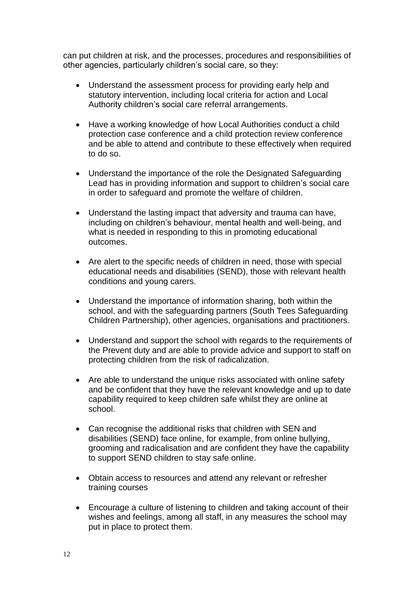can put children at risk, and the processes, procedures and responsibilities of other agencies, particularly children's social care, so they:

- Understand the assessment process for providing early help and statutory intervention, including local criteria for action and Local Authority children's social care referral arrangements.
- Have a working knowledge of how Local Authorities conduct a child protection case conference and a child protection review conference and be able to attend and contribute to these effectively when required to do so.
- Understand the importance of the role the Designated Safeguarding Lead has in providing information and support to children's social care in order to safeguard and promote the welfare of children.
- Understand the lasting impact that adversity and trauma can have, including on children's behaviour, mental health and well-being, and what is needed in responding to this in promoting educational outcomes.
- Are alert to the specific needs of children in need, those with special educational needs and disabilities (SEND), those with relevant health conditions and young carers.
- Understand the importance of information sharing, both within the school, and with the safeguarding partners (South Tees Safeguarding Children Partnership), other agencies, organisations and practitioners.
- Understand and support the school with regards to the requirements of the Prevent duty and are able to provide advice and support to staff on protecting children from the risk of radicalization.
- Are able to understand the unique risks associated with online safety and be confident that they have the relevant knowledge and up to date capability required to keep children safe whilst they are online at school.
- Can recognise the additional risks that children with SEN and disabilities (SEND) face online, for example, from online bullying, grooming and radicalisation and are confident they have the capability to support SEND children to stay safe online.
- Obtain access to resources and attend any relevant or refresher training courses
- Encourage a culture of listening to children and taking account of their wishes and feelings, among all staff, in any measures the school may put in place to protect them.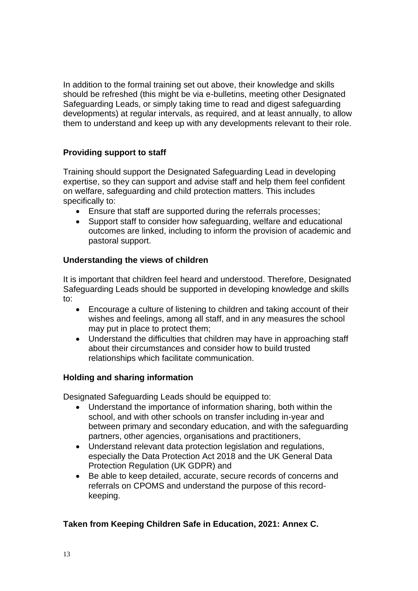In addition to the formal training set out above, their knowledge and skills should be refreshed (this might be via e-bulletins, meeting other Designated Safeguarding Leads, or simply taking time to read and digest safeguarding developments) at regular intervals, as required, and at least annually, to allow them to understand and keep up with any developments relevant to their role.

#### **Providing support to staff**

Training should support the Designated Safeguarding Lead in developing expertise, so they can support and advise staff and help them feel confident on welfare, safeguarding and child protection matters. This includes specifically to:

- Ensure that staff are supported during the referrals processes;
- Support staff to consider how safeguarding, welfare and educational outcomes are linked, including to inform the provision of academic and pastoral support.

#### **Understanding the views of children**

It is important that children feel heard and understood. Therefore, Designated Safeguarding Leads should be supported in developing knowledge and skills to:

- Encourage a culture of listening to children and taking account of their wishes and feelings, among all staff, and in any measures the school may put in place to protect them;
- Understand the difficulties that children may have in approaching staff about their circumstances and consider how to build trusted relationships which facilitate communication.

#### **Holding and sharing information**

Designated Safeguarding Leads should be equipped to:

- Understand the importance of information sharing, both within the school, and with other schools on transfer including in-year and between primary and secondary education, and with the safeguarding partners, other agencies, organisations and practitioners,
- Understand relevant data protection legislation and regulations, especially the Data Protection Act 2018 and the UK General Data Protection Regulation (UK GDPR) and
- Be able to keep detailed, accurate, secure records of concerns and referrals on CPOMS and understand the purpose of this recordkeeping.

#### **Taken from Keeping Children Safe in Education, 2021: Annex C.**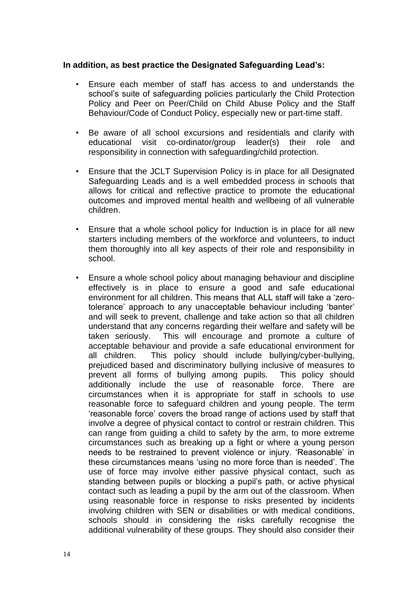#### **In addition, as best practice the Designated Safeguarding Lead's:**

- Ensure each member of staff has access to and understands the school's suite of safeguarding policies particularly the Child Protection Policy and Peer on Peer/Child on Child Abuse Policy and the Staff Behaviour/Code of Conduct Policy, especially new or part-time staff.
- Be aware of all school excursions and residentials and clarify with educational visit co-ordinator/group leader(s) their role and responsibility in connection with safeguarding/child protection.
- Ensure that the JCLT Supervision Policy is in place for all Designated Safeguarding Leads and is a well embedded process in schools that allows for critical and reflective practice to promote the educational outcomes and improved mental health and wellbeing of all vulnerable children.
- Ensure that a whole school policy for Induction is in place for all new starters including members of the workforce and volunteers, to induct them thoroughly into all key aspects of their role and responsibility in school.
- Ensure a whole school policy about managing behaviour and discipline effectively is in place to ensure a good and safe educational environment for all children. This means that ALL staff will take a 'zerotolerance' approach to any unacceptable behaviour including 'banter' and will seek to prevent, challenge and take action so that all children understand that any concerns regarding their welfare and safety will be taken seriously. This will encourage and promote a culture of acceptable behaviour and provide a safe educational environment for all children. This policy should include bullying/cyber-bullying, prejudiced based and discriminatory bullying inclusive of measures to prevent all forms of bullying among pupils. This policy should additionally include the use of reasonable force. There are circumstances when it is appropriate for staff in schools to use reasonable force to safeguard children and young people. The term 'reasonable force' covers the broad range of actions used by staff that involve a degree of physical contact to control or restrain children. This can range from guiding a child to safety by the arm, to more extreme circumstances such as breaking up a fight or where a young person needs to be restrained to prevent violence or injury. 'Reasonable' in these circumstances means 'using no more force than is needed'. The use of force may involve either passive physical contact, such as standing between pupils or blocking a pupil's path, or active physical contact such as leading a pupil by the arm out of the classroom. When using reasonable force in response to risks presented by incidents involving children with SEN or disabilities or with medical conditions, schools should in considering the risks carefully recognise the additional vulnerability of these groups. They should also consider their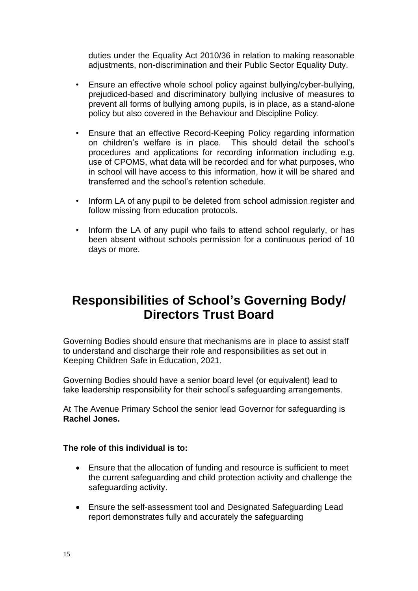duties under the Equality Act 2010/36 in relation to making reasonable adjustments, non-discrimination and their Public Sector Equality Duty.

- Ensure an effective whole school policy against bullying/cyber-bullying, prejudiced-based and discriminatory bullying inclusive of measures to prevent all forms of bullying among pupils, is in place, as a stand-alone policy but also covered in the Behaviour and Discipline Policy.
- Ensure that an effective Record-Keeping Policy regarding information on children's welfare is in place. This should detail the school's procedures and applications for recording information including e.g. use of CPOMS, what data will be recorded and for what purposes, who in school will have access to this information, how it will be shared and transferred and the school's retention schedule.
- Inform LA of any pupil to be deleted from school admission register and follow missing from education protocols.
- Inform the LA of any pupil who fails to attend school regularly, or has been absent without schools permission for a continuous period of 10 days or more.

# **Responsibilities of School's Governing Body/ Directors Trust Board**

Governing Bodies should ensure that mechanisms are in place to assist staff to understand and discharge their role and responsibilities as set out in Keeping Children Safe in Education, 2021.

Governing Bodies should have a senior board level (or equivalent) lead to take leadership responsibility for their school's safeguarding arrangements.

At The Avenue Primary School the senior lead Governor for safeguarding is **Rachel Jones.**

#### **The role of this individual is to:**

- Ensure that the allocation of funding and resource is sufficient to meet the current safeguarding and child protection activity and challenge the safeguarding activity.
- Ensure the self-assessment tool and Designated Safeguarding Lead report demonstrates fully and accurately the safeguarding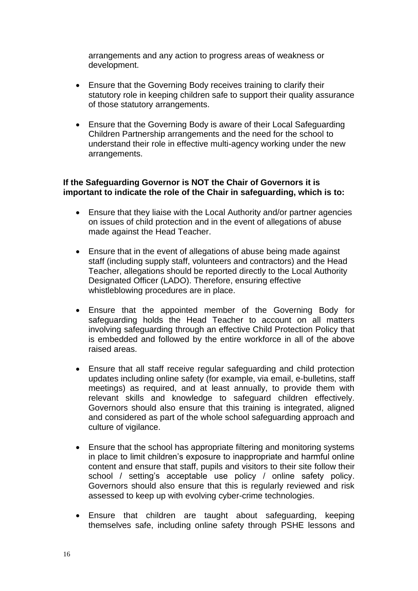arrangements and any action to progress areas of weakness or development.

- Ensure that the Governing Body receives training to clarify their statutory role in keeping children safe to support their quality assurance of those statutory arrangements.
- Ensure that the Governing Body is aware of their Local Safeguarding Children Partnership arrangements and the need for the school to understand their role in effective multi-agency working under the new arrangements.

#### **If the Safeguarding Governor is NOT the Chair of Governors it is important to indicate the role of the Chair in safeguarding, which is to:**

- Ensure that they liaise with the Local Authority and/or partner agencies on issues of child protection and in the event of allegations of abuse made against the Head Teacher.
- Ensure that in the event of allegations of abuse being made against staff (including supply staff, volunteers and contractors) and the Head Teacher, allegations should be reported directly to the Local Authority Designated Officer (LADO). Therefore, ensuring effective whistleblowing procedures are in place.
- Ensure that the appointed member of the Governing Body for safeguarding holds the Head Teacher to account on all matters involving safeguarding through an effective Child Protection Policy that is embedded and followed by the entire workforce in all of the above raised areas.
- Ensure that all staff receive regular safeguarding and child protection updates including online safety (for example, via email, e-bulletins, staff meetings) as required, and at least annually, to provide them with relevant skills and knowledge to safeguard children effectively. Governors should also ensure that this training is integrated, aligned and considered as part of the whole school safeguarding approach and culture of vigilance.
- Ensure that the school has appropriate filtering and monitoring systems in place to limit children's exposure to inappropriate and harmful online content and ensure that staff, pupils and visitors to their site follow their school / setting's acceptable use policy / online safety policy. Governors should also ensure that this is regularly reviewed and risk assessed to keep up with evolving cyber-crime technologies.
- Ensure that children are taught about safeguarding, keeping themselves safe, including online safety through PSHE lessons and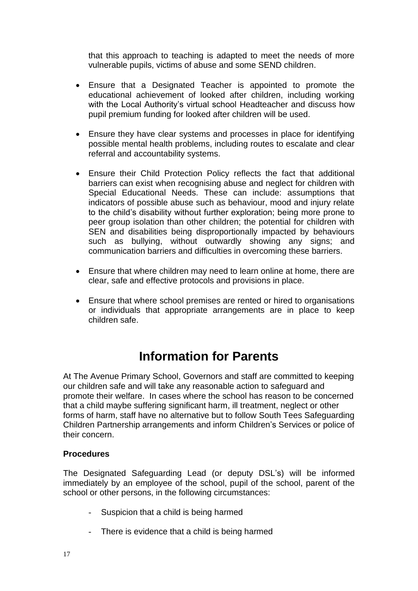that this approach to teaching is adapted to meet the needs of more vulnerable pupils, victims of abuse and some SEND children.

- Ensure that a Designated Teacher is appointed to promote the educational achievement of looked after children, including working with the Local Authority's virtual school Headteacher and discuss how pupil premium funding for looked after children will be used.
- Ensure they have clear systems and processes in place for identifying possible mental health problems, including routes to escalate and clear referral and accountability systems.
- Ensure their Child Protection Policy reflects the fact that additional barriers can exist when recognising abuse and neglect for children with Special Educational Needs. These can include: assumptions that indicators of possible abuse such as behaviour, mood and injury relate to the child's disability without further exploration; being more prone to peer group isolation than other children; the potential for children with SEN and disabilities being disproportionally impacted by behaviours such as bullying, without outwardly showing any signs; and communication barriers and difficulties in overcoming these barriers.
- Ensure that where children may need to learn online at home, there are clear, safe and effective protocols and provisions in place.
- Ensure that where school premises are rented or hired to organisations or individuals that appropriate arrangements are in place to keep children safe.

# **Information for Parents**

At The Avenue Primary School, Governors and staff are committed to keeping our children safe and will take any reasonable action to safeguard and promote their welfare. In cases where the school has reason to be concerned that a child maybe suffering significant harm, ill treatment, neglect or other forms of harm, staff have no alternative but to follow South Tees Safeguarding Children Partnership arrangements and inform Children's Services or police of their concern.

#### **Procedures**

The Designated Safeguarding Lead (or deputy DSL's) will be informed immediately by an employee of the school, pupil of the school, parent of the school or other persons, in the following circumstances:

- Suspicion that a child is being harmed
- There is evidence that a child is being harmed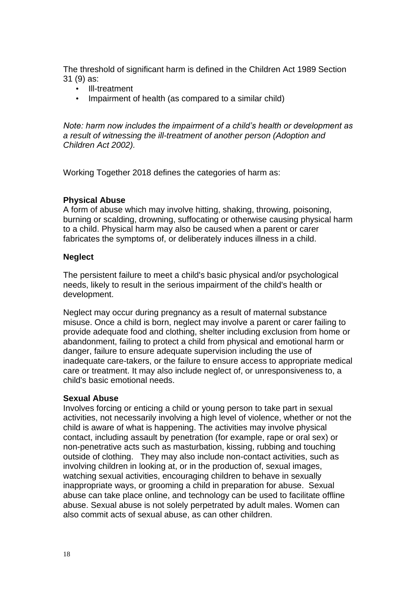The threshold of significant harm is defined in the Children Act 1989 Section 31 (9) as:

- Ill-treatment<br>• Impairment of
- Impairment of health (as compared to a similar child)

*Note: harm now includes the impairment of a child's health or development as a result of witnessing the ill-treatment of another person (Adoption and Children Act 2002).*

Working Together 2018 defines the categories of harm as:

#### **Physical Abuse**

A form of abuse which may involve hitting, shaking, throwing, poisoning, burning or scalding, drowning, suffocating or otherwise causing physical harm to a child. Physical harm may also be caused when a parent or carer fabricates the symptoms of, or deliberately induces illness in a child.

#### **Neglect**

The persistent failure to meet a child's basic physical and/or psychological needs, likely to result in the serious impairment of the child's health or development.

Neglect may occur during pregnancy as a result of maternal substance misuse. Once a child is born, neglect may involve a parent or carer failing to provide adequate food and clothing, shelter including exclusion from home or abandonment, failing to protect a child from physical and emotional harm or danger, failure to ensure adequate supervision including the use of inadequate care-takers, or the failure to ensure access to appropriate medical care or treatment. It may also include neglect of, or unresponsiveness to, a child's basic emotional needs.

#### **Sexual Abuse**

Involves forcing or enticing a child or young person to take part in sexual activities, not necessarily involving a high level of violence, whether or not the child is aware of what is happening. The activities may involve physical contact, including assault by penetration (for example, rape or oral sex) or non-penetrative acts such as masturbation, kissing, rubbing and touching outside of clothing. They may also include non-contact activities, such as involving children in looking at, or in the production of, sexual images, watching sexual activities, encouraging children to behave in sexually inappropriate ways, or grooming a child in preparation for abuse. Sexual abuse can take place online, and technology can be used to facilitate offline abuse. Sexual abuse is not solely perpetrated by adult males. Women can also commit acts of sexual abuse, as can other children.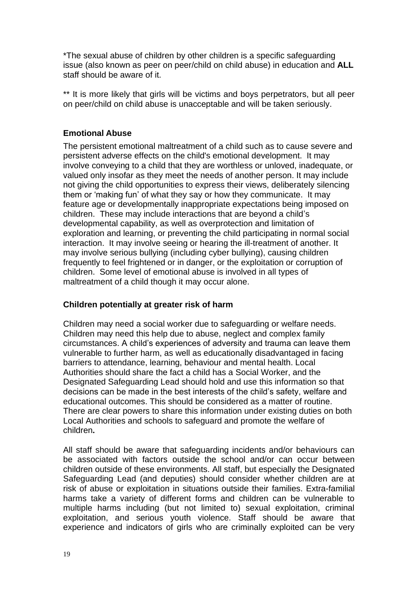\*The sexual abuse of children by other children is a specific safeguarding issue (also known as peer on peer/child on child abuse) in education and **ALL** staff should be aware of it.

\*\* It is more likely that girls will be victims and boys perpetrators, but all peer on peer/child on child abuse is unacceptable and will be taken seriously.

#### **Emotional Abuse**

The persistent emotional maltreatment of a child such as to cause severe and persistent adverse effects on the child's emotional development. It may involve conveying to a child that they are worthless or unloved, inadequate, or valued only insofar as they meet the needs of another person. It may include not giving the child opportunities to express their views, deliberately silencing them or 'making fun' of what they say or how they communicate. It may feature age or developmentally inappropriate expectations being imposed on children. These may include interactions that are beyond a child's developmental capability, as well as overprotection and limitation of exploration and learning, or preventing the child participating in normal social interaction. It may involve seeing or hearing the ill-treatment of another. It may involve serious bullying (including cyber bullying), causing children frequently to feel frightened or in danger, or the exploitation or corruption of children. Some level of emotional abuse is involved in all types of maltreatment of a child though it may occur alone.

#### **Children potentially at greater risk of harm**

Children may need a social worker due to safeguarding or welfare needs. Children may need this help due to abuse, neglect and complex family circumstances. A child's experiences of adversity and trauma can leave them vulnerable to further harm, as well as educationally disadvantaged in facing barriers to attendance, learning, behaviour and mental health. Local Authorities should share the fact a child has a Social Worker, and the Designated Safeguarding Lead should hold and use this information so that decisions can be made in the best interests of the child's safety, welfare and educational outcomes. This should be considered as a matter of routine. There are clear powers to share this information under existing duties on both Local Authorities and schools to safeguard and promote the welfare of children**.** 

All staff should be aware that safeguarding incidents and/or behaviours can be associated with factors outside the school and/or can occur between children outside of these environments. All staff, but especially the Designated Safeguarding Lead (and deputies) should consider whether children are at risk of abuse or exploitation in situations outside their families. Extra-familial harms take a variety of different forms and children can be vulnerable to multiple harms including (but not limited to) sexual exploitation, criminal exploitation, and serious youth violence. Staff should be aware that experience and indicators of girls who are criminally exploited can be very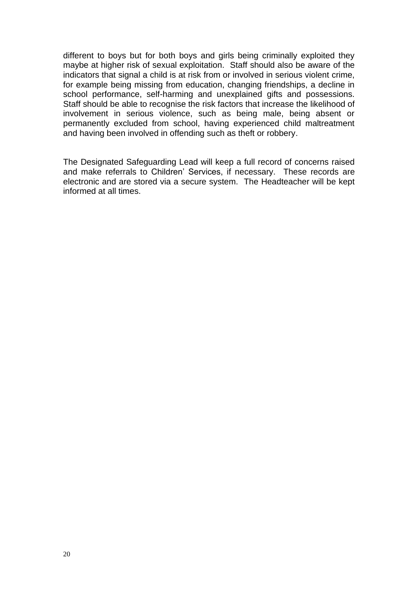different to boys but for both boys and girls being criminally exploited they maybe at higher risk of sexual exploitation. Staff should also be aware of the indicators that signal a child is at risk from or involved in serious violent crime, for example being missing from education, changing friendships, a decline in school performance, self-harming and unexplained gifts and possessions. Staff should be able to recognise the risk factors that increase the likelihood of involvement in serious violence, such as being male, being absent or permanently excluded from school, having experienced child maltreatment and having been involved in offending such as theft or robbery.

The Designated Safeguarding Lead will keep a full record of concerns raised and make referrals to Children' Services, if necessary. These records are electronic and are stored via a secure system. The Headteacher will be kept informed at all times.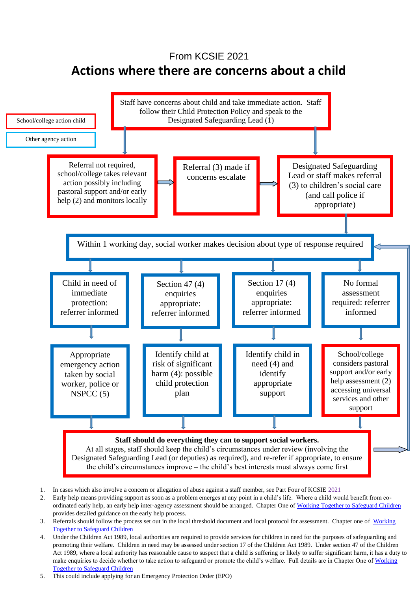### From KCSIE 2021 **Actions where there are concerns about a child**



- 2. Early help means providing support as soon as a problem emerges at any point in a child's life. Where a child would benefit from co-ordinated early help, an early help inter-agency assessment should be arranged. Chapter One of [Working Together to Safeguard Children](https://www.gov.uk/government/publications/working-together-to-safeguard-children--2) provides detailed guidance on the early help process.
- 3. Referrals should follow the process set out in the local threshold document and local protocol for assessment. Chapter one of Working [Together to Safeguard Children](https://www.gov.uk/government/publications/working-together-to-safeguard-children--2)
- 21 Act 1989, where a local authority has reasonable cause to suspect that a child is suffering or likely to suffer significant harm, it has a duty to 4. Under the Children Act 1989, local authorities are required to provide services for children in need for the purposes of safeguarding and promoting their welfare. Children in need may be assessed under section 17 of the Children Act 1989. Under section 47 of the Children make enquiries to decide whether to take action to safeguard or promote the child's welfare. Full details are in Chapter One o[f Working](https://www.gov.uk/government/publications/working-together-to-safeguard-children--2)  [Together to Safeguard Children](https://www.gov.uk/government/publications/working-together-to-safeguard-children--2)
- 5. This could include applying for an Emergency Protection Order (EPO)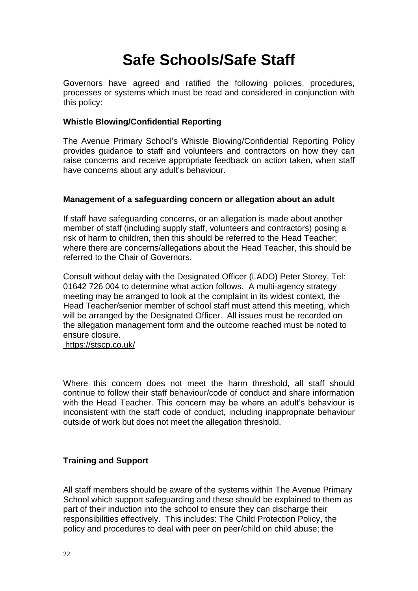# **Safe Schools/Safe Staff**

Governors have agreed and ratified the following policies, procedures, processes or systems which must be read and considered in conjunction with this policy:

#### **Whistle Blowing/Confidential Reporting**

The Avenue Primary School's Whistle Blowing/Confidential Reporting Policy provides guidance to staff and volunteers and contractors on how they can raise concerns and receive appropriate feedback on action taken, when staff have concerns about any adult's behaviour.

#### **Management of a safeguarding concern or allegation about an adult**

If staff have safeguarding concerns, or an allegation is made about another member of staff (including supply staff, volunteers and contractors) posing a risk of harm to children, then this should be referred to the Head Teacher; where there are concerns/allegations about the Head Teacher, this should be referred to the Chair of Governors.

Consult without delay with the Designated Officer (LADO) Peter Storey, Tel: 01642 726 004 to determine what action follows. A multi-agency strategy meeting may be arranged to look at the complaint in its widest context, the Head Teacher/senior member of school staff must attend this meeting, which will be arranged by the Designated Officer. All issues must be recorded on the allegation management form and the outcome reached must be noted to ensure closure.

<https://stscp.co.uk/>

Where this concern does not meet the harm threshold, all staff should continue to follow their staff behaviour/code of conduct and share information with the Head Teacher. This concern may be where an adult's behaviour is inconsistent with the staff code of conduct, including inappropriate behaviour outside of work but does not meet the allegation threshold.

#### **Training and Support**

All staff members should be aware of the systems within The Avenue Primary School which support safeguarding and these should be explained to them as part of their induction into the school to ensure they can discharge their responsibilities effectively. This includes: The Child Protection Policy, the policy and procedures to deal with peer on peer/child on child abuse; the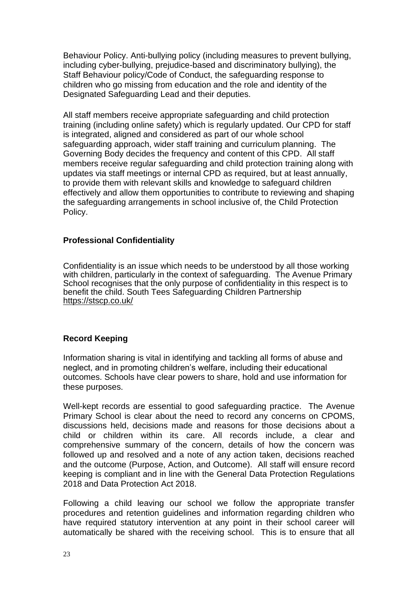Behaviour Policy. Anti-bullying policy (including measures to prevent bullying, including cyber-bullying, prejudice-based and discriminatory bullying), the Staff Behaviour policy/Code of Conduct, the safeguarding response to children who go missing from education and the role and identity of the Designated Safeguarding Lead and their deputies.

All staff members receive appropriate safeguarding and child protection training (including online safety) which is regularly updated. Our CPD for staff is integrated, aligned and considered as part of our whole school safeguarding approach, wider staff training and curriculum planning. The Governing Body decides the frequency and content of this CPD. All staff members receive regular safeguarding and child protection training along with updates via staff meetings or internal CPD as required, but at least annually, to provide them with relevant skills and knowledge to safeguard children effectively and allow them opportunities to contribute to reviewing and shaping the safeguarding arrangements in school inclusive of, the Child Protection Policy.

#### **Professional Confidentiality**

Confidentiality is an issue which needs to be understood by all those working with children, particularly in the context of safeguarding. The Avenue Primary School recognises that the only purpose of confidentiality in this respect is to benefit the child. South Tees Safeguarding Children Partnership <https://stscp.co.uk/>

#### **Record Keeping**

Information sharing is vital in identifying and tackling all forms of abuse and neglect, and in promoting children's welfare, including their educational outcomes. Schools have clear powers to share, hold and use information for these purposes.

Well-kept records are essential to good safeguarding practice. The Avenue Primary School is clear about the need to record any concerns on CPOMS, discussions held, decisions made and reasons for those decisions about a child or children within its care. All records include, a clear and comprehensive summary of the concern, details of how the concern was followed up and resolved and a note of any action taken, decisions reached and the outcome (Purpose, Action, and Outcome). All staff will ensure record keeping is compliant and in line with the General Data Protection Regulations 2018 and Data Protection Act 2018.

Following a child leaving our school we follow the appropriate transfer procedures and retention guidelines and information regarding children who have required statutory intervention at any point in their school career will automatically be shared with the receiving school. This is to ensure that all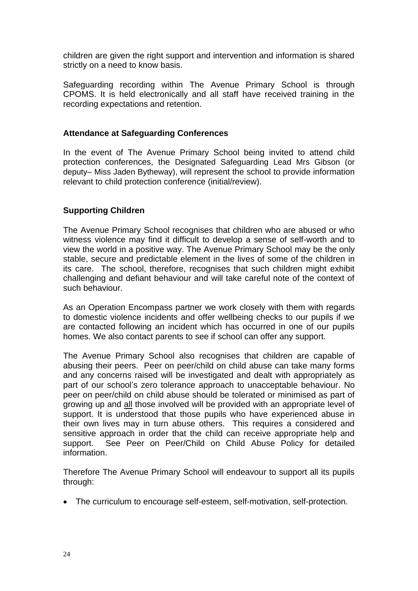children are given the right support and intervention and information is shared strictly on a need to know basis.

Safeguarding recording within The Avenue Primary School is through CPOMS. It is held electronically and all staff have received training in the recording expectations and retention.

#### **Attendance at Safeguarding Conferences**

In the event of The Avenue Primary School being invited to attend child protection conferences, the Designated Safeguarding Lead Mrs Gibson (or deputy– Miss Jaden Bytheway), will represent the school to provide information relevant to child protection conference (initial/review).

#### **Supporting Children**

The Avenue Primary School recognises that children who are abused or who witness violence may find it difficult to develop a sense of self-worth and to view the world in a positive way. The Avenue Primary School may be the only stable, secure and predictable element in the lives of some of the children in its care. The school, therefore, recognises that such children might exhibit challenging and defiant behaviour and will take careful note of the context of such behaviour.

As an Operation Encompass partner we work closely with them with regards to domestic violence incidents and offer wellbeing checks to our pupils if we are contacted following an incident which has occurred in one of our pupils homes. We also contact parents to see if school can offer any support.

The Avenue Primary School also recognises that children are capable of abusing their peers. Peer on peer/child on child abuse can take many forms and any concerns raised will be investigated and dealt with appropriately as part of our school's zero tolerance approach to unacceptable behaviour. No peer on peer/child on child abuse should be tolerated or minimised as part of growing up and all those involved will be provided with an appropriate level of support. It is understood that those pupils who have experienced abuse in their own lives may in turn abuse others. This requires a considered and sensitive approach in order that the child can receive appropriate help and support. See Peer on Peer/Child on Child Abuse Policy for detailed information.

Therefore The Avenue Primary School will endeavour to support all its pupils through:

• The curriculum to encourage self-esteem, self-motivation, self-protection.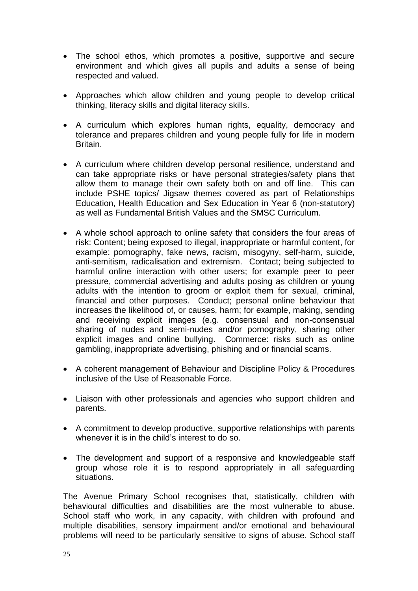- The school ethos, which promotes a positive, supportive and secure environment and which gives all pupils and adults a sense of being respected and valued.
- Approaches which allow children and young people to develop critical thinking, literacy skills and digital literacy skills.
- A curriculum which explores human rights, equality, democracy and tolerance and prepares children and young people fully for life in modern Britain.
- A curriculum where children develop personal resilience, understand and can take appropriate risks or have personal strategies/safety plans that allow them to manage their own safety both on and off line. This can include PSHE topics/ Jigsaw themes covered as part of Relationships Education, Health Education and Sex Education in Year 6 (non-statutory) as well as Fundamental British Values and the SMSC Curriculum.
- A whole school approach to online safety that considers the four areas of risk: Content; being exposed to illegal, inappropriate or harmful content, for example: pornography, fake news, racism, misogyny, self-harm, suicide, anti-semitism, radicalisation and extremism. Contact; being subjected to harmful online interaction with other users; for example peer to peer pressure, commercial advertising and adults posing as children or young adults with the intention to groom or exploit them for sexual, criminal, financial and other purposes. Conduct; personal online behaviour that increases the likelihood of, or causes, harm; for example, making, sending and receiving explicit images (e.g. consensual and non-consensual sharing of nudes and semi-nudes and/or pornography, sharing other explicit images and online bullying. Commerce: risks such as online gambling, inappropriate advertising, phishing and or financial scams.
- A coherent management of Behaviour and Discipline Policy & Procedures inclusive of the Use of Reasonable Force.
- Liaison with other professionals and agencies who support children and parents.
- A commitment to develop productive, supportive relationships with parents whenever it is in the child's interest to do so.
- The development and support of a responsive and knowledgeable staff group whose role it is to respond appropriately in all safeguarding situations.

The Avenue Primary School recognises that, statistically, children with behavioural difficulties and disabilities are the most vulnerable to abuse. School staff who work, in any capacity, with children with profound and multiple disabilities, sensory impairment and/or emotional and behavioural problems will need to be particularly sensitive to signs of abuse. School staff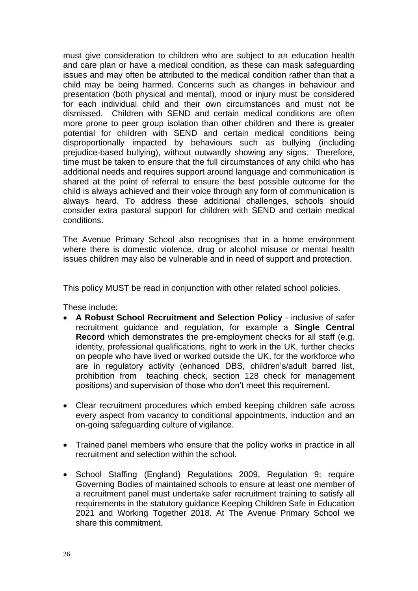must give consideration to children who are subject to an education health and care plan or have a medical condition, as these can mask safeguarding issues and may often be attributed to the medical condition rather than that a child may be being harmed. Concerns such as changes in behaviour and presentation (both physical and mental), mood or injury must be considered for each individual child and their own circumstances and must not be dismissed. Children with SEND and certain medical conditions are often more prone to peer group isolation than other children and there is greater potential for children with SEND and certain medical conditions being disproportionally impacted by behaviours such as bullying (including prejudice-based bullying), without outwardly showing any signs. Therefore, time must be taken to ensure that the full circumstances of any child who has additional needs and requires support around language and communication is shared at the point of referral to ensure the best possible outcome for the child is always achieved and their voice through any form of communication is always heard. To address these additional challenges, schools should consider extra pastoral support for children with SEND and certain medical conditions.

The Avenue Primary School also recognises that in a home environment where there is domestic violence, drug or alcohol misuse or mental health issues children may also be vulnerable and in need of support and protection.

This policy MUST be read in conjunction with other related school policies.

These include:

- **A Robust School Recruitment and Selection Policy**  inclusive of safer recruitment guidance and regulation, for example a **Single Central Record** which demonstrates the pre-employment checks for all staff (e.g. identity, professional qualifications, right to work in the UK, further checks on people who have lived or worked outside the UK, for the workforce who are in regulatory activity (enhanced DBS, children's/adult barred list, prohibition from teaching check, section 128 check for management positions) and supervision of those who don't meet this requirement.
- Clear recruitment procedures which embed keeping children safe across every aspect from vacancy to conditional appointments, induction and an on-going safeguarding culture of vigilance.
- Trained panel members who ensure that the policy works in practice in all recruitment and selection within the school.
- School Staffing (England) Regulations 2009, Regulation 9: require Governing Bodies of maintained schools to ensure at least one member of a recruitment panel must undertake safer recruitment training to satisfy all requirements in the statutory guidance Keeping Children Safe in Education 2021 and Working Together 2018. At The Avenue Primary School we share this commitment.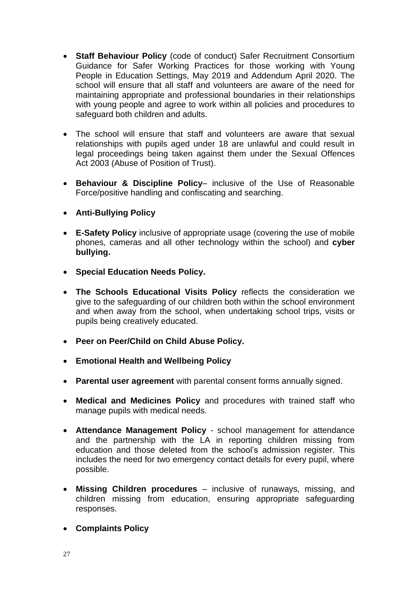- **Staff Behaviour Policy** (code of conduct) Safer Recruitment Consortium Guidance for Safer Working Practices for those working with Young People in Education Settings, May 2019 and Addendum April 2020. The school will ensure that all staff and volunteers are aware of the need for maintaining appropriate and professional boundaries in their relationships with young people and agree to work within all policies and procedures to safeguard both children and adults.
- The school will ensure that staff and volunteers are aware that sexual relationships with pupils aged under 18 are unlawful and could result in legal proceedings being taken against them under the Sexual Offences Act 2003 (Abuse of Position of Trust).
- **Behaviour & Discipline Policy** inclusive of the Use of Reasonable Force/positive handling and confiscating and searching.
- **Anti-Bullying Policy**
- **E-Safety Policy** inclusive of appropriate usage (covering the use of mobile phones, cameras and all other technology within the school) and **cyber bullying.**
- **Special Education Needs Policy.**
- **The Schools Educational Visits Policy** reflects the consideration we give to the safeguarding of our children both within the school environment and when away from the school, when undertaking school trips, visits or pupils being creatively educated.
- **Peer on Peer/Child on Child Abuse Policy.**
- **Emotional Health and Wellbeing Policy**
- **Parental user agreement** with parental consent forms annually signed.
- **Medical and Medicines Policy** and procedures with trained staff who manage pupils with medical needs.
- **Attendance Management Policy** school management for attendance and the partnership with the LA in reporting children missing from education and those deleted from the school's admission register. This includes the need for two emergency contact details for every pupil, where possible.
- **Missing Children procedures** inclusive of runaways, missing, and children missing from education, ensuring appropriate safeguarding responses.
- **Complaints Policy**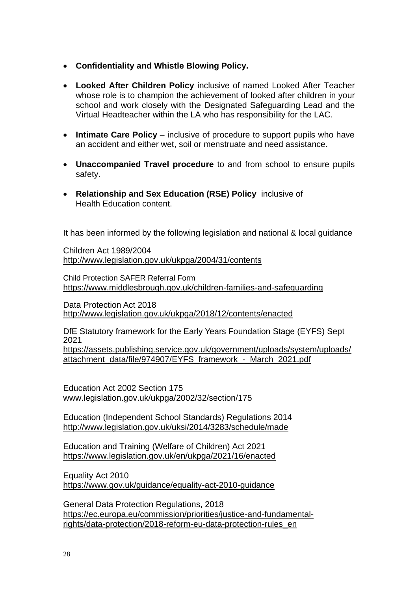- **Confidentiality and Whistle Blowing Policy.**
- **Looked After Children Policy** inclusive of named Looked After Teacher whose role is to champion the achievement of looked after children in your school and work closely with the Designated Safeguarding Lead and the Virtual Headteacher within the LA who has responsibility for the LAC.
- **Intimate Care Policy** inclusive of procedure to support pupils who have an accident and either wet, soil or menstruate and need assistance.
- **Unaccompanied Travel procedure** to and from school to ensure pupils safety.
- **Relationship and Sex Education (RSE) Policy** inclusive of Health Education content.

It has been informed by the following legislation and national & local guidance

Children Act 1989/2004 <http://www.legislation.gov.uk/ukpga/2004/31/contents>

Child Protection SAFER Referral Form <https://www.middlesbrough.gov.uk/children-families-and-safeguarding>

Data Protection Act 2018 <http://www.legislation.gov.uk/ukpga/2018/12/contents/enacted>

DfE Statutory framework for the Early Years Foundation Stage (EYFS) Sept 2021

[https://assets.publishing.service.gov.uk/government/uploads/system/uploads/](https://assets.publishing.service.gov.uk/government/uploads/system/uploads/attachment_data/file/974907/EYFS_framework_-_March_2021.pdf) attachment\_data/file/974907/EYFS\_framework - March\_2021.pdf

Education Act 2002 Section 175 [www.legislation.gov.uk/ukpga/2002/32/section/175](http://www.legislation.gov.uk/ukpga/2002/32/section/175)

Education (Independent School Standards) Regulations 2014 <http://www.legislation.gov.uk/uksi/2014/3283/schedule/made>

Education and Training (Welfare of Children) Act 2021 <https://www.legislation.gov.uk/en/ukpga/2021/16/enacted>

Equality Act 2010 <https://www.gov.uk/guidance/equality-act-2010-guidance>

General Data Protection Regulations, 2018 [https://ec.europa.eu/commission/priorities/justice-and-fundamental](https://ec.europa.eu/commission/priorities/justice-and-fundamental-rights/data-protection/2018-reform-eu-data-protection-rules_en)[rights/data-protection/2018-reform-eu-data-protection-rules\\_en](https://ec.europa.eu/commission/priorities/justice-and-fundamental-rights/data-protection/2018-reform-eu-data-protection-rules_en)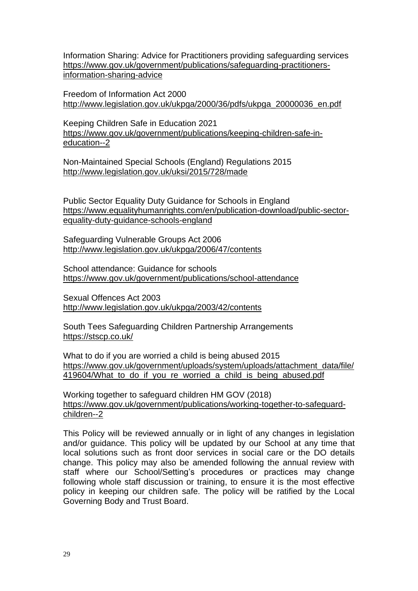Information Sharing: Advice for Practitioners providing safeguarding services [https://www.gov.uk/government/publications/safeguarding-practitioners](https://www.gov.uk/government/publications/safeguarding-practitioners-information-sharing-advice)[information-sharing-advice](https://www.gov.uk/government/publications/safeguarding-practitioners-information-sharing-advice)

Freedom of Information Act 2000 [http://www.legislation.gov.uk/ukpga/2000/36/pdfs/ukpga\\_20000036\\_en.pdf](http://www.legislation.gov.uk/ukpga/2000/36/pdfs/ukpga_20000036_en.pdf)

Keeping Children Safe in Education 2021 [https://www.gov.uk/government/publications/keeping-children-safe-in](https://www.gov.uk/government/publications/keeping-children-safe-in-education--2)[education--2](https://www.gov.uk/government/publications/keeping-children-safe-in-education--2)

Non-Maintained Special Schools (England) Regulations 2015 <http://www.legislation.gov.uk/uksi/2015/728/made>

Public Sector Equality Duty Guidance for Schools in England [https://www.equalityhumanrights.com/en/publication-download/public-sector](https://www.equalityhumanrights.com/en/publication-download/public-sector-equality-duty-guidance-schools-england)[equality-duty-guidance-schools-england](https://www.equalityhumanrights.com/en/publication-download/public-sector-equality-duty-guidance-schools-england)

Safeguarding Vulnerable Groups Act 2006 <http://www.legislation.gov.uk/ukpga/2006/47/contents>

School attendance: Guidance for schools <https://www.gov.uk/government/publications/school-attendance>

Sexual Offences Act 2003 <http://www.legislation.gov.uk/ukpga/2003/42/contents>

South Tees Safeguarding Children Partnership Arrangements <https://stscp.co.uk/>

What to do if you are worried a child is being abused 2015 [https://www.gov.uk/government/uploads/system/uploads/attachment\\_data/file/](https://www.gov.uk/government/uploads/system/uploads/attachment_data/file/419604/What_to_do_if_you_re_worried_a_child_is_being_abused.pdf) 419604/What to do if you re worried a child is being abused.pdf

Working together to safeguard children HM GOV (2018) [https://www.gov.uk/government/publications/working-together-to-safeguard](https://www.gov.uk/government/publications/working-together-to-safeguard-children--2)[children--2](https://www.gov.uk/government/publications/working-together-to-safeguard-children--2)

This Policy will be reviewed annually or in light of any changes in legislation and/or guidance. This policy will be updated by our School at any time that local solutions such as front door services in social care or the DO details change. This policy may also be amended following the annual review with staff where our School/Setting's procedures or practices may change following whole staff discussion or training, to ensure it is the most effective policy in keeping our children safe. The policy will be ratified by the Local Governing Body and Trust Board.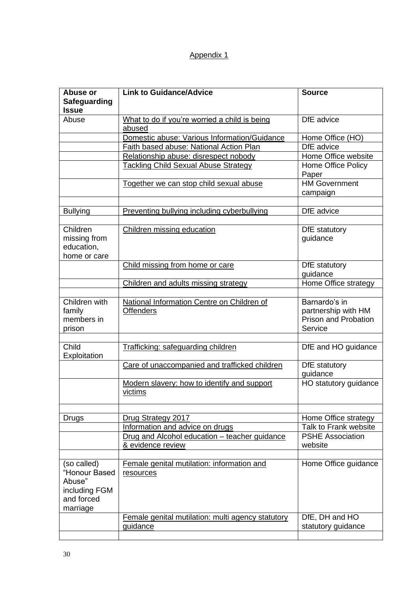#### Appendix 1

| Abuse or<br><b>Safeguarding</b><br><b>Issue</b>                                   | <b>Link to Guidance/Advice</b>                                                                                              | <b>Source</b>                                                                       |
|-----------------------------------------------------------------------------------|-----------------------------------------------------------------------------------------------------------------------------|-------------------------------------------------------------------------------------|
| Abuse                                                                             | What to do if you're worried a child is being<br>abused                                                                     | DfE advice                                                                          |
|                                                                                   | Domestic abuse: Various Information/Guidance                                                                                | Home Office (HO)                                                                    |
|                                                                                   | Faith based abuse: National Action Plan                                                                                     | DfE advice                                                                          |
|                                                                                   | Relationship abuse: disrespect nobody                                                                                       | Home Office website                                                                 |
|                                                                                   | <b>Tackling Child Sexual Abuse Strategy</b>                                                                                 | Home Office Policy<br>Paper                                                         |
|                                                                                   | Together we can stop child sexual abuse                                                                                     | <b>HM Government</b><br>campaign                                                    |
| <b>Bullying</b>                                                                   | Preventing bullying including cyberbullying                                                                                 | DfE advice                                                                          |
| Children<br>missing from<br>education,<br>home or care                            | Children missing education                                                                                                  | DfE statutory<br>guidance                                                           |
|                                                                                   | Child missing from home or care                                                                                             | DfE statutory<br>guidance                                                           |
|                                                                                   | Children and adults missing strategy                                                                                        | Home Office strategy                                                                |
| Children with<br>family<br>members in<br>prison                                   | National Information Centre on Children of<br><b>Offenders</b>                                                              | Barnardo's in<br>partnership with HM<br>Prison and Probation<br>Service             |
| Child<br>Exploitation                                                             | Trafficking: safeguarding children                                                                                          | DfE and HO guidance                                                                 |
|                                                                                   | Care of unaccompanied and trafficked children                                                                               | DfE statutory<br>guidance                                                           |
|                                                                                   | Modern slavery: how to identify and support<br>victims                                                                      | HO statutory guidance                                                               |
| Drugs                                                                             | Drug Strategy 2017<br>Information and advice on drugs<br>Drug and Alcohol education - teacher guidance<br>& evidence review | Home Office strategy<br>Talk to Frank website<br><b>PSHE Association</b><br>website |
| (so called)<br>"Honour Based<br>Abuse"<br>including FGM<br>and forced<br>marriage | Female genital mutilation: information and<br>resources                                                                     | Home Office guidance                                                                |
|                                                                                   | Female genital mutilation: multi agency statutory<br>quidance                                                               | DfE, DH and HO<br>statutory guidance                                                |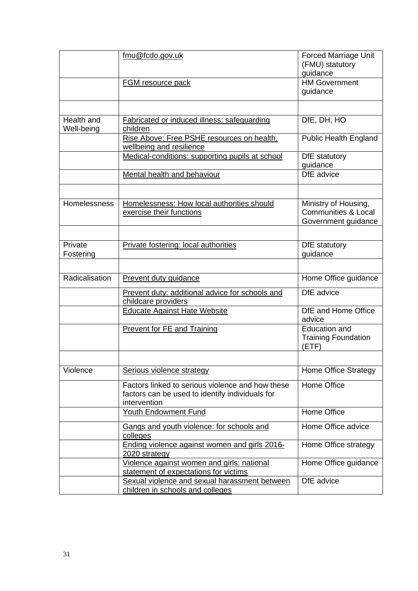|                          | fmu@fcdo.gov.uk                                                                                                     | <b>Forced Marriage Unit</b><br>(FMU) statutory<br>guidance                    |
|--------------------------|---------------------------------------------------------------------------------------------------------------------|-------------------------------------------------------------------------------|
|                          | <b>FGM</b> resource pack                                                                                            | <b>HM Government</b><br>guidance                                              |
|                          |                                                                                                                     |                                                                               |
| Health and<br>Well-being | Fabricated or induced illness: safeguarding<br>children                                                             | DfE, DH, HO                                                                   |
|                          | Rise Above: Free PSHE resources on health.<br>wellbeing and resilience                                              | <b>Public Health England</b>                                                  |
|                          | Medical-conditions: supporting pupils at school                                                                     | DfE statutory<br>guidance                                                     |
|                          | Mental health and behaviour                                                                                         | DfE advice                                                                    |
|                          |                                                                                                                     |                                                                               |
| <b>Homelessness</b>      | Homelessness: How local authorities should<br>exercise their functions                                              | Ministry of Housing,<br><b>Communities &amp; Local</b><br>Government guidance |
| Private                  | Private fostering: local authorities                                                                                | DfE statutory                                                                 |
| Fostering                |                                                                                                                     | guidance                                                                      |
| Radicalisation           | Prevent duty guidance                                                                                               | Home Office guidance                                                          |
|                          |                                                                                                                     | DfE advice                                                                    |
|                          | Prevent duty: additional advice for schools and<br>childcare providers                                              |                                                                               |
|                          | <b>Educate Against Hate Website</b>                                                                                 | DfE and Home Office<br>advice                                                 |
|                          | <b>Prevent for FE and Training</b>                                                                                  | <b>Education and</b><br><b>Training Foundation</b><br>(ETF)                   |
|                          |                                                                                                                     |                                                                               |
| Violence                 | Serious violence strategy                                                                                           | <b>Home Office Strategy</b>                                                   |
|                          | Factors linked to serious violence and how these<br>factors can be used to identify individuals for<br>intervention | Home Office                                                                   |
|                          | <b>Youth Endowment Fund</b>                                                                                         | Home Office                                                                   |
|                          | Gangs and youth violence: for schools and<br>colleges                                                               | Home Office advice                                                            |
|                          | Ending violence against women and girls 2016-<br>2020 strategy                                                      | Home Office strategy                                                          |
|                          | Violence against women and girls: national<br>statement of expectations for victims                                 | Home Office guidance                                                          |
|                          | Sexual violence and sexual harassment between<br>children in schools and colleges                                   | DfE advice                                                                    |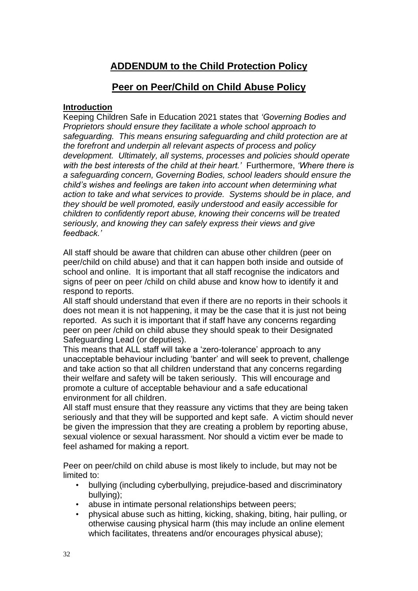### **ADDENDUM to the Child Protection Policy**

#### **Peer on Peer/Child on Child Abuse Policy**

#### **Introduction**

Keeping Children Safe in Education 2021 states that *'Governing Bodies and Proprietors should ensure they facilitate a whole school approach to safeguarding. This means ensuring safeguarding and child protection are at the forefront and underpin all relevant aspects of process and policy development. Ultimately, all systems, processes and policies should operate with the best interests of the child at their heart.'* Furthermore, *'Where there is a safeguarding concern, Governing Bodies, school leaders should ensure the child's wishes and feelings are taken into account when determining what action to take and what services to provide. Systems should be in place, and they should be well promoted, easily understood and easily accessible for children to confidently report abuse, knowing their concerns will be treated seriously, and knowing they can safely express their views and give feedback.'*

All staff should be aware that children can abuse other children (peer on peer/child on child abuse) and that it can happen both inside and outside of school and online. It is important that all staff recognise the indicators and signs of peer on peer /child on child abuse and know how to identify it and respond to reports.

All staff should understand that even if there are no reports in their schools it does not mean it is not happening, it may be the case that it is just not being reported. As such it is important that if staff have any concerns regarding peer on peer /child on child abuse they should speak to their Designated Safeguarding Lead (or deputies).

This means that ALL staff will take a 'zero-tolerance' approach to any unacceptable behaviour including 'banter' and will seek to prevent, challenge and take action so that all children understand that any concerns regarding their welfare and safety will be taken seriously. This will encourage and promote a culture of acceptable behaviour and a safe educational environment for all children.

All staff must ensure that they reassure any victims that they are being taken seriously and that they will be supported and kept safe. A victim should never be given the impression that they are creating a problem by reporting abuse, sexual violence or sexual harassment. Nor should a victim ever be made to feel ashamed for making a report.

Peer on peer/child on child abuse is most likely to include, but may not be limited to:

- bullying (including cyberbullying, prejudice-based and discriminatory bullying);
- abuse in intimate personal relationships between peers;
- physical abuse such as hitting, kicking, shaking, biting, hair pulling, or otherwise causing physical harm (this may include an online element which facilitates, threatens and/or encourages physical abuse):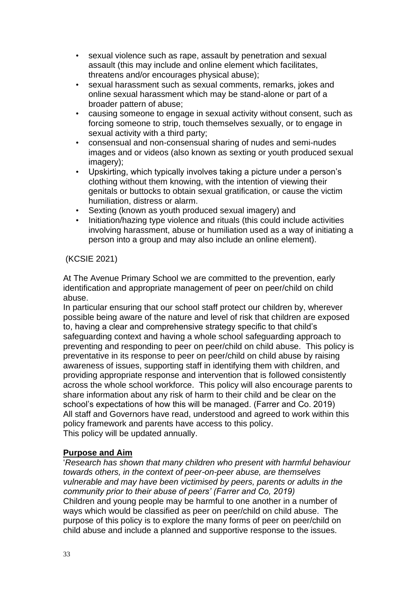- sexual violence such as rape, assault by penetration and sexual assault (this may include and online element which facilitates, threatens and/or encourages physical abuse);
- sexual harassment such as sexual comments, remarks, jokes and online sexual harassment which may be stand-alone or part of a broader pattern of abuse;
- causing someone to engage in sexual activity without consent, such as forcing someone to strip, touch themselves sexually, or to engage in sexual activity with a third party;
- consensual and non-consensual sharing of nudes and semi-nudes images and or videos (also known as sexting or youth produced sexual imagery);
- Upskirting, which typically involves taking a picture under a person's clothing without them knowing, with the intention of viewing their genitals or buttocks to obtain sexual gratification, or cause the victim humiliation, distress or alarm.
- Sexting (known as youth produced sexual imagery) and
- Initiation/hazing type violence and rituals (this could include activities involving harassment, abuse or humiliation used as a way of initiating a person into a group and may also include an online element).

#### (KCSIE 2021)

At The Avenue Primary School we are committed to the prevention, early identification and appropriate management of peer on peer/child on child abuse.

In particular ensuring that our school staff protect our children by, wherever possible being aware of the nature and level of risk that children are exposed to, having a clear and comprehensive strategy specific to that child's safeguarding context and having a whole school safeguarding approach to preventing and responding to peer on peer/child on child abuse. This policy is preventative in its response to peer on peer/child on child abuse by raising awareness of issues, supporting staff in identifying them with children, and providing appropriate response and intervention that is followed consistently across the whole school workforce. This policy will also encourage parents to share information about any risk of harm to their child and be clear on the school's expectations of how this will be managed. (Farrer and Co. 2019) All staff and Governors have read, understood and agreed to work within this policy framework and parents have access to this policy. This policy will be updated annually.

#### **Purpose and Aim**

'*Research has shown that many children who present with harmful behaviour towards others, in the context of peer-on-peer abuse, are themselves vulnerable and may have been victimised by peers, parents or adults in the community prior to their abuse of peers' (Farrer and Co, 2019)* Children and young people may be harmful to one another in a number of ways which would be classified as peer on peer/child on child abuse. The purpose of this policy is to explore the many forms of peer on peer/child on child abuse and include a planned and supportive response to the issues.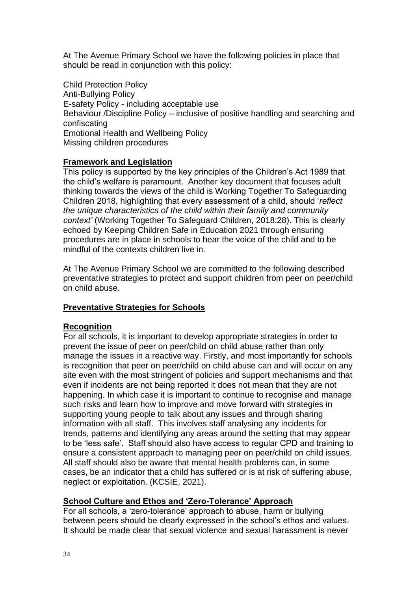At The Avenue Primary School we have the following policies in place that should be read in conjunction with this policy:

Child Protection Policy Anti-Bullying Policy E-safety Policy - including acceptable use Behaviour /Discipline Policy – inclusive of positive handling and searching and confiscating Emotional Health and Wellbeing Policy Missing children procedures

#### **Framework and Legislation**

This policy is supported by the key principles of the Children's Act 1989 that the child's welfare is paramount. Another key document that focuses adult thinking towards the views of the child is Working Together To Safeguarding Children 2018, highlighting that every assessment of a child, should '*reflect the unique characteristics of the child within their family and community context'* (Working Together To Safeguard Children, 2018:28). This is clearly echoed by Keeping Children Safe in Education 2021 through ensuring procedures are in place in schools to hear the voice of the child and to be mindful of the contexts children live in.

At The Avenue Primary School we are committed to the following described preventative strategies to protect and support children from peer on peer/child on child abuse.

#### **Preventative Strategies for Schools**

#### **Recognition**

For all schools, it is important to develop appropriate strategies in order to prevent the issue of peer on peer/child on child abuse rather than only manage the issues in a reactive way. Firstly, and most importantly for schools is recognition that peer on peer/child on child abuse can and will occur on any site even with the most stringent of policies and support mechanisms and that even if incidents are not being reported it does not mean that they are not happening. In which case it is important to continue to recognise and manage such risks and learn how to improve and move forward with strategies in supporting young people to talk about any issues and through sharing information with all staff. This involves staff analysing any incidents for trends, patterns and identifying any areas around the setting that may appear to be 'less safe'. Staff should also have access to regular CPD and training to ensure a consistent approach to managing peer on peer/child on child issues. All staff should also be aware that mental health problems can, in some cases, be an indicator that a child has suffered or is at risk of suffering abuse, neglect or exploitation. (KCSIE, 2021).

#### **School Culture and Ethos and 'Zero-Tolerance' Approach**

For all schools, a 'zero-tolerance' approach to abuse, harm or bullying between peers should be clearly expressed in the school's ethos and values. It should be made clear that sexual violence and sexual harassment is never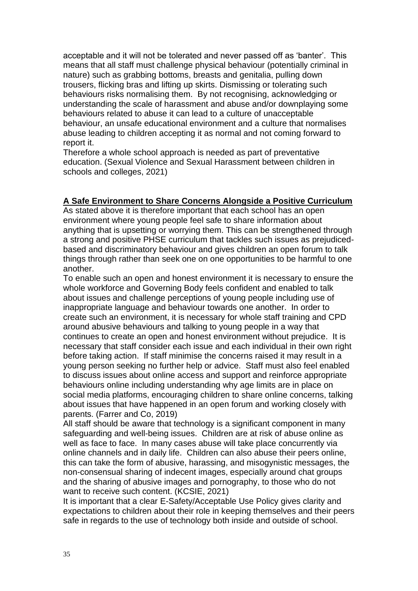acceptable and it will not be tolerated and never passed off as 'banter'. This means that all staff must challenge physical behaviour (potentially criminal in nature) such as grabbing bottoms, breasts and genitalia, pulling down trousers, flicking bras and lifting up skirts. Dismissing or tolerating such behaviours risks normalising them. By not recognising, acknowledging or understanding the scale of harassment and abuse and/or downplaying some behaviours related to abuse it can lead to a culture of unacceptable behaviour, an unsafe educational environment and a culture that normalises abuse leading to children accepting it as normal and not coming forward to report it.

Therefore a whole school approach is needed as part of preventative education. (Sexual Violence and Sexual Harassment between children in schools and colleges, 2021)

#### **A Safe Environment to Share Concerns Alongside a Positive Curriculum**

As stated above it is therefore important that each school has an open environment where young people feel safe to share information about anything that is upsetting or worrying them. This can be strengthened through a strong and positive PHSE curriculum that tackles such issues as prejudicedbased and discriminatory behaviour and gives children an open forum to talk things through rather than seek one on one opportunities to be harmful to one another.

To enable such an open and honest environment it is necessary to ensure the whole workforce and Governing Body feels confident and enabled to talk about issues and challenge perceptions of young people including use of inappropriate language and behaviour towards one another. In order to create such an environment, it is necessary for whole staff training and CPD around abusive behaviours and talking to young people in a way that continues to create an open and honest environment without prejudice. It is necessary that staff consider each issue and each individual in their own right before taking action. If staff minimise the concerns raised it may result in a young person seeking no further help or advice. Staff must also feel enabled to discuss issues about online access and support and reinforce appropriate behaviours online including understanding why age limits are in place on social media platforms, encouraging children to share online concerns, talking about issues that have happened in an open forum and working closely with parents. (Farrer and Co, 2019)

All staff should be aware that technology is a significant component in many safeguarding and well-being issues. Children are at risk of abuse online as well as face to face. In many cases abuse will take place concurrently via online channels and in daily life. Children can also abuse their peers online, this can take the form of abusive, harassing, and misogynistic messages, the non-consensual sharing of indecent images, especially around chat groups and the sharing of abusive images and pornography, to those who do not want to receive such content. (KCSIE, 2021)

It is important that a clear E-Safety/Acceptable Use Policy gives clarity and expectations to children about their role in keeping themselves and their peers safe in regards to the use of technology both inside and outside of school.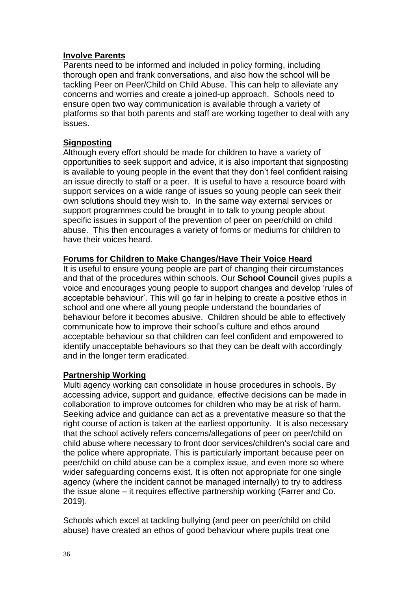#### **Involve Parents**

Parents need to be informed and included in policy forming, including thorough open and frank conversations, and also how the school will be tackling Peer on Peer/Child on Child Abuse. This can help to alleviate any concerns and worries and create a joined-up approach. Schools need to ensure open two way communication is available through a variety of platforms so that both parents and staff are working together to deal with any issues.

#### **Signposting**

Although every effort should be made for children to have a variety of opportunities to seek support and advice, it is also important that signposting is available to young people in the event that they don't feel confident raising an issue directly to staff or a peer. It is useful to have a resource board with support services on a wide range of issues so young people can seek their own solutions should they wish to. In the same way external services or support programmes could be brought in to talk to young people about specific issues in support of the prevention of peer on peer/child on child abuse. This then encourages a variety of forms or mediums for children to have their voices heard.

#### **Forums for Children to Make Changes/Have Their Voice Heard**

It is useful to ensure young people are part of changing their circumstances and that of the procedures within schools. Our **School Council** gives pupils a voice and encourages young people to support changes and develop 'rules of acceptable behaviour'. This will go far in helping to create a positive ethos in school and one where all young people understand the boundaries of behaviour before it becomes abusive. Children should be able to effectively communicate how to improve their school's culture and ethos around acceptable behaviour so that children can feel confident and empowered to identify unacceptable behaviours so that they can be dealt with accordingly and in the longer term eradicated.

#### **Partnership Working**

Multi agency working can consolidate in house procedures in schools. By accessing advice, support and guidance, effective decisions can be made in collaboration to improve outcomes for children who may be at risk of harm. Seeking advice and guidance can act as a preventative measure so that the right course of action is taken at the earliest opportunity. It is also necessary that the school actively refers concerns/allegations of peer on peer/child on child abuse where necessary to front door services/children's social care and the police where appropriate. This is particularly important because peer on peer/child on child abuse can be a complex issue, and even more so where wider safeguarding concerns exist. It is often not appropriate for one single agency (where the incident cannot be managed internally) to try to address the issue alone – it requires effective partnership working (Farrer and Co. 2019).

Schools which excel at tackling bullying (and peer on peer/child on child abuse) have created an ethos of good behaviour where pupils treat one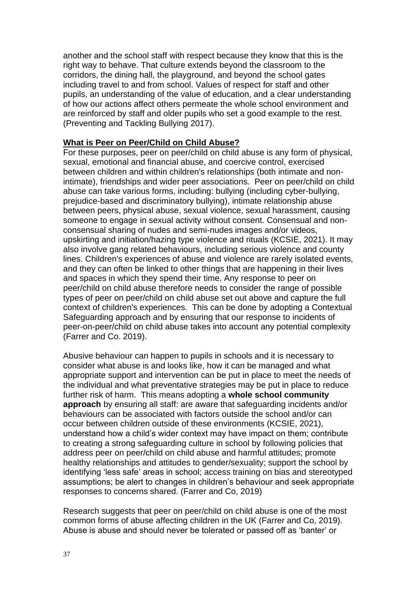another and the school staff with respect because they know that this is the right way to behave. That culture extends beyond the classroom to the corridors, the dining hall, the playground, and beyond the school gates including travel to and from school. Values of respect for staff and other pupils, an understanding of the value of education, and a clear understanding of how our actions affect others permeate the whole school environment and are reinforced by staff and older pupils who set a good example to the rest. (Preventing and Tackling Bullying 2017).

#### **What is Peer on Peer/Child on Child Abuse?**

For these purposes, peer on peer/child on child abuse is any form of physical, sexual, emotional and financial abuse, and coercive control, exercised between children and within children's relationships (both intimate and nonintimate), friendships and wider peer associations. Peer on peer/child on child abuse can take various forms, including: bullying (including cyber-bullying, prejudice-based and discriminatory bullying), intimate relationship abuse between peers, physical abuse, sexual violence, sexual harassment, causing someone to engage in sexual activity without consent. Consensual and nonconsensual sharing of nudes and semi-nudes images and/or videos, upskirting and initiation/hazing type violence and rituals (KCSIE, 2021). It may also involve gang related behaviours, including serious violence and county lines. Children's experiences of abuse and violence are rarely isolated events, and they can often be linked to other things that are happening in their lives and spaces in which they spend their time. Any response to peer on peer/child on child abuse therefore needs to consider the range of possible types of peer on peer/child on child abuse set out above and capture the full context of children's experiences. This can be done by adopting a Contextual Safeguarding approach and by ensuring that our response to incidents of peer-on-peer/child on child abuse takes into account any potential complexity (Farrer and Co. 2019).

Abusive behaviour can happen to pupils in schools and it is necessary to consider what abuse is and looks like, how it can be managed and what appropriate support and intervention can be put in place to meet the needs of the individual and what preventative strategies may be put in place to reduce further risk of harm. This means adopting a **whole school community approach** by ensuring all staff: are aware that safeguarding incidents and/or behaviours can be associated with factors outside the school and/or can occur between children outside of these environments (KCSIE, 2021), understand how a child's wider context may have impact on them; contribute to creating a strong safeguarding culture in school by following policies that address peer on peer/child on child abuse and harmful attitudes; promote healthy relationships and attitudes to gender/sexuality; support the school by identifying 'less safe' areas in school; access training on bias and stereotyped assumptions; be alert to changes in children's behaviour and seek appropriate responses to concerns shared. (Farrer and Co, 2019)

Research suggests that peer on peer/child on child abuse is one of the most common forms of abuse affecting children in the UK (Farrer and Co, 2019). Abuse is abuse and should never be tolerated or passed off as 'banter' or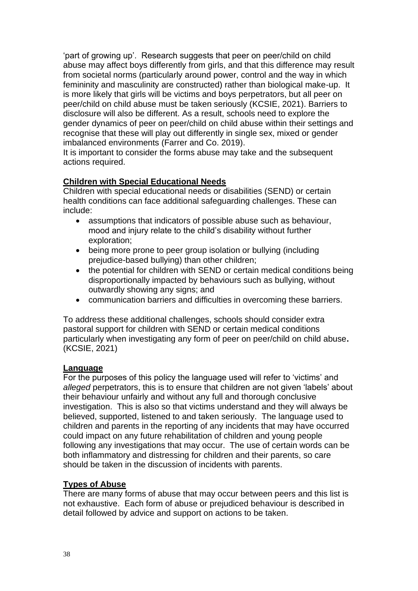'part of growing up'. Research suggests that peer on peer/child on child abuse may affect boys differently from girls, and that this difference may result from societal norms (particularly around power, control and the way in which femininity and masculinity are constructed) rather than biological make-up. It is more likely that girls will be victims and boys perpetrators, but all peer on peer/child on child abuse must be taken seriously (KCSIE, 2021). Barriers to disclosure will also be different. As a result, schools need to explore the gender dynamics of peer on peer/child on child abuse within their settings and recognise that these will play out differently in single sex, mixed or gender imbalanced environments (Farrer and Co. 2019).

It is important to consider the forms abuse may take and the subsequent actions required.

#### **Children with Special Educational Needs**

Children with special educational needs or disabilities (SEND) or certain health conditions can face additional safeguarding challenges. These can include:

- assumptions that indicators of possible abuse such as behaviour, mood and injury relate to the child's disability without further exploration;
- being more prone to peer group isolation or bullying (including prejudice-based bullying) than other children;
- the potential for children with SEND or certain medical conditions being disproportionally impacted by behaviours such as bullying, without outwardly showing any signs; and
- communication barriers and difficulties in overcoming these barriers.

To address these additional challenges, schools should consider extra pastoral support for children with SEND or certain medical conditions particularly when investigating any form of peer on peer/child on child abuse**.** (KCSIE, 2021)

#### **Language**

For the purposes of this policy the language used will refer to 'victims' and *alleged* perpetrators, this is to ensure that children are not given 'labels' about their behaviour unfairly and without any full and thorough conclusive investigation. This is also so that victims understand and they will always be believed, supported, listened to and taken seriously. The language used to children and parents in the reporting of any incidents that may have occurred could impact on any future rehabilitation of children and young people following any investigations that may occur. The use of certain words can be both inflammatory and distressing for children and their parents, so care should be taken in the discussion of incidents with parents.

#### **Types of Abuse**

There are many forms of abuse that may occur between peers and this list is not exhaustive. Each form of abuse or prejudiced behaviour is described in detail followed by advice and support on actions to be taken.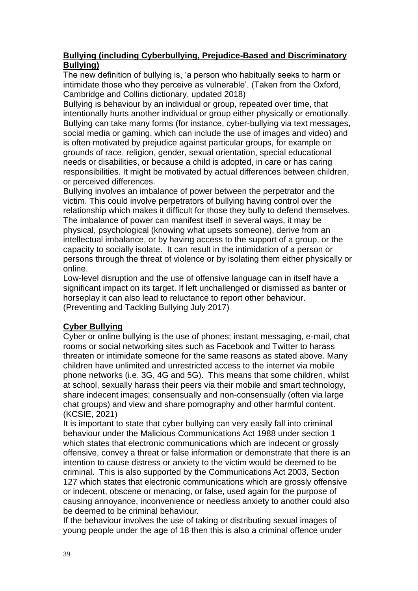#### **Bullying (including Cyberbullying, Prejudice-Based and Discriminatory Bullying)**

The new definition of bullying is, 'a person who habitually seeks to harm or intimidate those who they perceive as vulnerable'. (Taken from the Oxford, Cambridge and Collins dictionary, updated 2018)

Bullying is behaviour by an individual or group, repeated over time, that intentionally hurts another individual or group either physically or emotionally. Bullying can take many forms (for instance, cyber-bullying via text messages, social media or gaming, which can include the use of images and video) and is often motivated by prejudice against particular groups, for example on grounds of race, religion, gender, sexual orientation, special educational needs or disabilities, or because a child is adopted, in care or has caring responsibilities. It might be motivated by actual differences between children, or perceived differences.

Bullying involves an imbalance of power between the perpetrator and the victim. This could involve perpetrators of bullying having control over the relationship which makes it difficult for those they bully to defend themselves. The imbalance of power can manifest itself in several ways, it may be physical, psychological (knowing what upsets someone), derive from an intellectual imbalance, or by having access to the support of a group, or the capacity to socially isolate. It can result in the intimidation of a person or persons through the threat of violence or by isolating them either physically or online.

Low-level disruption and the use of offensive language can in itself have a significant impact on its target. If left unchallenged or dismissed as banter or horseplay it can also lead to reluctance to report other behaviour. (Preventing and Tackling Bullying July 2017)

#### **Cyber Bullying**

Cyber or online bullying is the use of phones; instant messaging, e-mail, chat rooms or social networking sites such as Facebook and Twitter to harass threaten or intimidate someone for the same reasons as stated above. Many children have unlimited and unrestricted access to the internet via mobile phone networks (i.e. 3G, 4G and 5G). This means that some children, whilst at school, sexually harass their peers via their mobile and smart technology, share indecent images; consensually and non-consensually (often via large chat groups) and view and share pornography and other harmful content. (KCSIE, 2021)

It is important to state that cyber bullying can very easily fall into criminal behaviour under the Malicious Communications Act 1988 under section 1 which states that electronic communications which are indecent or grossly offensive, convey a threat or false information or demonstrate that there is an intention to cause distress or anxiety to the victim would be deemed to be criminal. This is also supported by the Communications Act 2003, Section 127 which states that electronic communications which are grossly offensive or indecent, obscene or menacing, or false, used again for the purpose of causing annoyance, inconvenience or needless anxiety to another could also be deemed to be criminal behaviour.

If the behaviour involves the use of taking or distributing sexual images of young people under the age of 18 then this is also a criminal offence under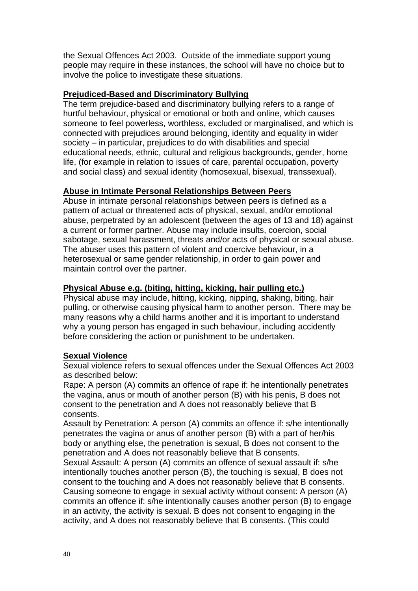the Sexual Offences Act 2003. Outside of the immediate support young people may require in these instances, the school will have no choice but to involve the police to investigate these situations.

#### **Prejudiced-Based and Discriminatory Bullying**

The term prejudice-based and discriminatory bullying refers to a range of hurtful behaviour, physical or emotional or both and online, which causes someone to feel powerless, worthless, excluded or marginalised, and which is connected with prejudices around belonging, identity and equality in wider society – in particular, prejudices to do with disabilities and special educational needs, ethnic, cultural and religious backgrounds, gender, home life, (for example in relation to issues of care, parental occupation, poverty and social class) and sexual identity (homosexual, bisexual, transsexual).

#### **Abuse in Intimate Personal Relationships Between Peers**

Abuse in intimate personal relationships between peers is defined as a pattern of actual or threatened acts of physical, sexual, and/or emotional abuse, perpetrated by an adolescent (between the ages of 13 and 18) against a current or former partner. Abuse may include insults, coercion, social sabotage, sexual harassment, threats and/or acts of physical or sexual abuse. The abuser uses this pattern of violent and coercive behaviour, in a heterosexual or same gender relationship, in order to gain power and maintain control over the partner.

#### **Physical Abuse e.g. (biting, hitting, kicking, hair pulling etc.)**

Physical abuse may include, hitting, kicking, nipping, shaking, biting, hair pulling, or otherwise causing physical harm to another person. There may be many reasons why a child harms another and it is important to understand why a young person has engaged in such behaviour, including accidently before considering the action or punishment to be undertaken.

#### **Sexual Violence**

Sexual violence refers to sexual offences under the Sexual Offences Act 2003 as described below:

Rape: A person (A) commits an offence of rape if: he intentionally penetrates the vagina, anus or mouth of another person (B) with his penis, B does not consent to the penetration and A does not reasonably believe that B consents.

Assault by Penetration: A person (A) commits an offence if: s/he intentionally penetrates the vagina or anus of another person (B) with a part of her/his body or anything else, the penetration is sexual, B does not consent to the penetration and A does not reasonably believe that B consents.

Sexual Assault: A person (A) commits an offence of sexual assault if: s/he intentionally touches another person (B), the touching is sexual, B does not consent to the touching and A does not reasonably believe that B consents. Causing someone to engage in sexual activity without consent: A person (A) commits an offence if: s/he intentionally causes another person (B) to engage in an activity, the activity is sexual. B does not consent to engaging in the activity, and A does not reasonably believe that B consents. (This could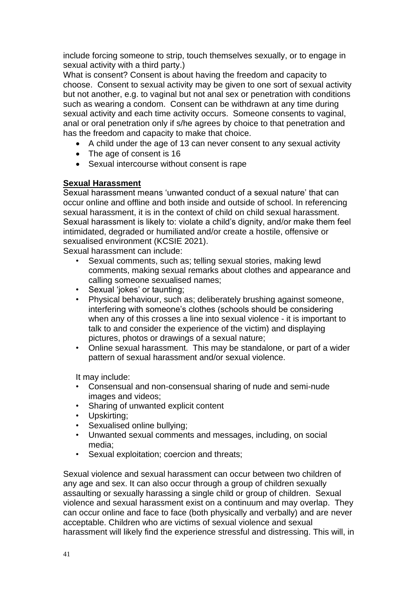include forcing someone to strip, touch themselves sexually, or to engage in sexual activity with a third party.)

What is consent? Consent is about having the freedom and capacity to choose. Consent to sexual activity may be given to one sort of sexual activity but not another, e.g. to vaginal but not anal sex or penetration with conditions such as wearing a condom. Consent can be withdrawn at any time during sexual activity and each time activity occurs. Someone consents to vaginal, anal or oral penetration only if s/he agrees by choice to that penetration and has the freedom and capacity to make that choice.

- A child under the age of 13 can never consent to any sexual activity
- The age of consent is 16
- Sexual intercourse without consent is rape

#### **Sexual Harassment**

Sexual harassment means 'unwanted conduct of a sexual nature' that can occur online and offline and both inside and outside of school. In referencing sexual harassment, it is in the context of child on child sexual harassment. Sexual harassment is likely to: violate a child's dignity, and/or make them feel intimidated, degraded or humiliated and/or create a hostile, offensive or sexualised environment (KCSIE 2021).

Sexual harassment can include:

- Sexual comments, such as; telling sexual stories, making lewd comments, making sexual remarks about clothes and appearance and calling someone sexualised names;
- Sexual 'jokes' or taunting;
- Physical behaviour, such as; deliberately brushing against someone, interfering with someone's clothes (schools should be considering when any of this crosses a line into sexual violence - it is important to talk to and consider the experience of the victim) and displaying pictures, photos or drawings of a sexual nature;
- Online sexual harassment. This may be standalone, or part of a wider pattern of sexual harassment and/or sexual violence.

It may include:

- Consensual and non-consensual sharing of nude and semi-nude images and videos;
- Sharing of unwanted explicit content
- Upskirting;
- Sexualised online bullying;
- Unwanted sexual comments and messages, including, on social media;
- Sexual exploitation; coercion and threats;

Sexual violence and sexual harassment can occur between two children of any age and sex. It can also occur through a group of children sexually assaulting or sexually harassing a single child or group of children. Sexual violence and sexual harassment exist on a continuum and may overlap. They can occur online and face to face (both physically and verbally) and are never acceptable. Children who are victims of sexual violence and sexual harassment will likely find the experience stressful and distressing. This will, in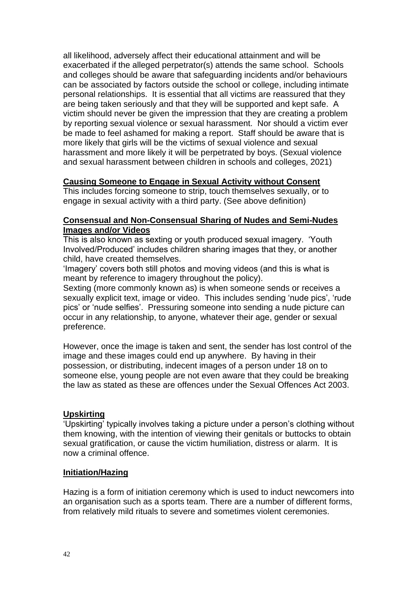all likelihood, adversely affect their educational attainment and will be exacerbated if the alleged perpetrator(s) attends the same school. Schools and colleges should be aware that safeguarding incidents and/or behaviours can be associated by factors outside the school or college, including intimate personal relationships. It is essential that all victims are reassured that they are being taken seriously and that they will be supported and kept safe. A victim should never be given the impression that they are creating a problem by reporting sexual violence or sexual harassment. Nor should a victim ever be made to feel ashamed for making a report. Staff should be aware that is more likely that girls will be the victims of sexual violence and sexual harassment and more likely it will be perpetrated by boys. (Sexual violence and sexual harassment between children in schools and colleges, 2021)

#### **Causing Someone to Engage in Sexual Activity without Consent**

This includes forcing someone to strip, touch themselves sexually, or to engage in sexual activity with a third party. (See above definition)

#### **Consensual and Non-Consensual Sharing of Nudes and Semi-Nudes Images and/or Videos**

This is also known as sexting or youth produced sexual imagery. 'Youth Involved/Produced' includes children sharing images that they, or another child, have created themselves.

'Imagery' covers both still photos and moving videos (and this is what is meant by reference to imagery throughout the policy).

Sexting (more commonly known as) is when someone sends or receives a sexually explicit text, image or video. This includes sending 'nude pics', 'rude pics' or 'nude selfies'. Pressuring someone into sending a nude picture can occur in any relationship, to anyone, whatever their age, gender or sexual preference.

However, once the image is taken and sent, the sender has lost control of the image and these images could end up anywhere. By having in their possession, or distributing, indecent images of a person under 18 on to someone else, young people are not even aware that they could be breaking the law as stated as these are offences under the Sexual Offences Act 2003.

#### **Upskirting**

'Upskirting' typically involves taking a picture under a person's clothing without them knowing, with the intention of viewing their genitals or buttocks to obtain sexual gratification, or cause the victim humiliation, distress or alarm. It is now a criminal offence.

#### **Initiation/Hazing**

Hazing is a form of initiation ceremony which is used to induct newcomers into an organisation such as a sports team. There are a number of different forms, from relatively mild rituals to severe and sometimes violent ceremonies.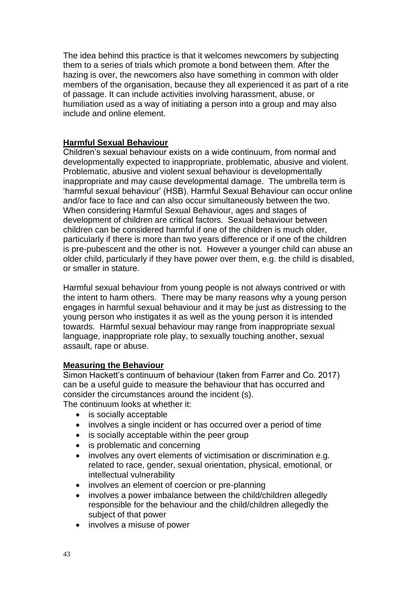The idea behind this practice is that it welcomes newcomers by subjecting them to a series of trials which promote a bond between them. After the hazing is over, the newcomers also have something in common with older members of the organisation, because they all experienced it as part of a rite of passage. It can include activities involving harassment, abuse, or humiliation used as a way of initiating a person into a group and may also include and online element.

#### **Harmful Sexual Behaviour**

Children's sexual behaviour exists on a wide continuum, from normal and developmentally expected to inappropriate, problematic, abusive and violent. Problematic, abusive and violent sexual behaviour is developmentally inappropriate and may cause developmental damage. The umbrella term is 'harmful sexual behaviour' (HSB). Harmful Sexual Behaviour can occur online and/or face to face and can also occur simultaneously between the two. When considering Harmful Sexual Behaviour, ages and stages of development of children are critical factors. Sexual behaviour between children can be considered harmful if one of the children is much older, particularly if there is more than two years difference or if one of the children is pre-pubescent and the other is not. However a younger child can abuse an older child, particularly if they have power over them, e.g. the child is disabled, or smaller in stature.

Harmful sexual behaviour from young people is not always contrived or with the intent to harm others. There may be many reasons why a young person engages in harmful sexual behaviour and it may be just as distressing to the young person who instigates it as well as the young person it is intended towards. Harmful sexual behaviour may range from inappropriate sexual language, inappropriate role play, to sexually touching another, sexual assault, rape or abuse.

#### **Measuring the Behaviour**

Simon Hackett's continuum of behaviour (taken from Farrer and Co. 2017) can be a useful guide to measure the behaviour that has occurred and consider the circumstances around the incident (s). The continuum looks at whether it:

- 
- is socially acceptable
- involves a single incident or has occurred over a period of time
- is socially acceptable within the peer group
- is problematic and concerning
- involves any overt elements of victimisation or discrimination e.g. related to race, gender, sexual orientation, physical, emotional, or intellectual vulnerability
- involves an element of coercion or pre-planning
- involves a power imbalance between the child/children allegedly responsible for the behaviour and the child/children allegedly the subject of that power
- involves a misuse of power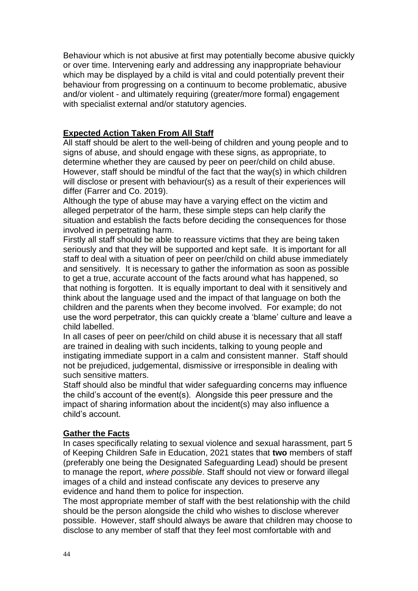Behaviour which is not abusive at first may potentially become abusive quickly or over time. Intervening early and addressing any inappropriate behaviour which may be displayed by a child is vital and could potentially prevent their behaviour from progressing on a continuum to become problematic, abusive and/or violent - and ultimately requiring (greater/more formal) engagement with specialist external and/or statutory agencies.

#### **Expected Action Taken From All Staff**

All staff should be alert to the well-being of children and young people and to signs of abuse, and should engage with these signs, as appropriate, to determine whether they are caused by peer on peer/child on child abuse. However, staff should be mindful of the fact that the way(s) in which children will disclose or present with behaviour(s) as a result of their experiences will differ (Farrer and Co. 2019).

Although the type of abuse may have a varying effect on the victim and alleged perpetrator of the harm, these simple steps can help clarify the situation and establish the facts before deciding the consequences for those involved in perpetrating harm.

Firstly all staff should be able to reassure victims that they are being taken seriously and that they will be supported and kept safe. It is important for all staff to deal with a situation of peer on peer/child on child abuse immediately and sensitively. It is necessary to gather the information as soon as possible to get a true, accurate account of the facts around what has happened, so that nothing is forgotten. It is equally important to deal with it sensitively and think about the language used and the impact of that language on both the children and the parents when they become involved. For example; do not use the word perpetrator, this can quickly create a 'blame' culture and leave a child labelled.

In all cases of peer on peer/child on child abuse it is necessary that all staff are trained in dealing with such incidents, talking to young people and instigating immediate support in a calm and consistent manner. Staff should not be prejudiced, judgemental, dismissive or irresponsible in dealing with such sensitive matters.

Staff should also be mindful that wider safeguarding concerns may influence the child's account of the event(s). Alongside this peer pressure and the impact of sharing information about the incident(s) may also influence a child's account.

#### **Gather the Facts**

In cases specifically relating to sexual violence and sexual harassment, part 5 of Keeping Children Safe in Education, 2021 states that **two** members of staff (preferably one being the Designated Safeguarding Lead) should be present to manage the report, *where possible*. Staff should not view or forward illegal images of a child and instead confiscate any devices to preserve any evidence and hand them to police for inspection.

The most appropriate member of staff with the best relationship with the child should be the person alongside the child who wishes to disclose wherever possible. However, staff should always be aware that children may choose to disclose to any member of staff that they feel most comfortable with and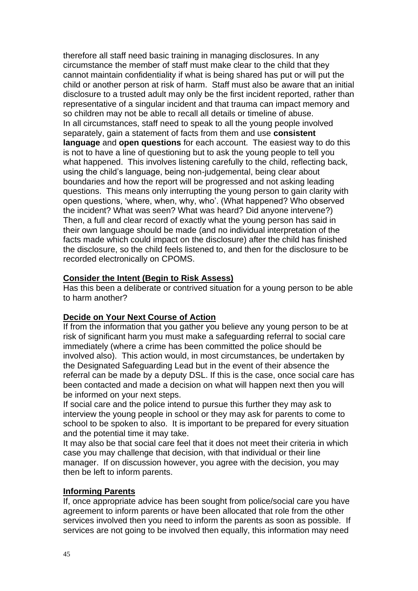therefore all staff need basic training in managing disclosures. In any circumstance the member of staff must make clear to the child that they cannot maintain confidentiality if what is being shared has put or will put the child or another person at risk of harm. Staff must also be aware that an initial disclosure to a trusted adult may only be the first incident reported, rather than representative of a singular incident and that trauma can impact memory and so children may not be able to recall all details or timeline of abuse. In all circumstances, staff need to speak to all the young people involved separately, gain a statement of facts from them and use **consistent language** and **open questions** for each account. The easiest way to do this is not to have a line of questioning but to ask the young people to tell you what happened. This involves listening carefully to the child, reflecting back, using the child's language, being non-judgemental, being clear about boundaries and how the report will be progressed and not asking leading questions. This means only interrupting the young person to gain clarity with open questions, 'where, when, why, who'. (What happened? Who observed the incident? What was seen? What was heard? Did anyone intervene?) Then, a full and clear record of exactly what the young person has said in their own language should be made (and no individual interpretation of the facts made which could impact on the disclosure) after the child has finished the disclosure, so the child feels listened to, and then for the disclosure to be recorded electronically on CPOMS.

#### **Consider the Intent (Begin to Risk Assess)**

Has this been a deliberate or contrived situation for a young person to be able to harm another?

#### **Decide on Your Next Course of Action**

If from the information that you gather you believe any young person to be at risk of significant harm you must make a safeguarding referral to social care immediately (where a crime has been committed the police should be involved also). This action would, in most circumstances, be undertaken by the Designated Safeguarding Lead but in the event of their absence the referral can be made by a deputy DSL. If this is the case, once social care has been contacted and made a decision on what will happen next then you will be informed on your next steps.

If social care and the police intend to pursue this further they may ask to interview the young people in school or they may ask for parents to come to school to be spoken to also. It is important to be prepared for every situation and the potential time it may take.

It may also be that social care feel that it does not meet their criteria in which case you may challenge that decision, with that individual or their line manager. If on discussion however, you agree with the decision, you may then be left to inform parents.

#### **Informing Parents**

If, once appropriate advice has been sought from police/social care you have agreement to inform parents or have been allocated that role from the other services involved then you need to inform the parents as soon as possible. If services are not going to be involved then equally, this information may need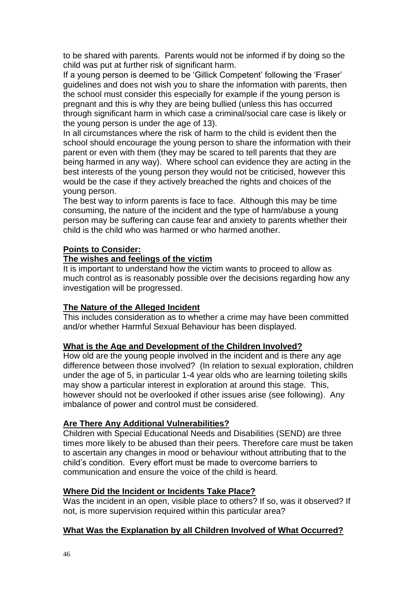to be shared with parents. Parents would not be informed if by doing so the child was put at further risk of significant harm.

If a young person is deemed to be 'Gillick Competent' following the 'Fraser' guidelines and does not wish you to share the information with parents, then the school must consider this especially for example if the young person is pregnant and this is why they are being bullied (unless this has occurred through significant harm in which case a criminal/social care case is likely or the young person is under the age of 13).

In all circumstances where the risk of harm to the child is evident then the school should encourage the young person to share the information with their parent or even with them (they may be scared to tell parents that they are being harmed in any way). Where school can evidence they are acting in the best interests of the young person they would not be criticised, however this would be the case if they actively breached the rights and choices of the young person.

The best way to inform parents is face to face. Although this may be time consuming, the nature of the incident and the type of harm/abuse a young person may be suffering can cause fear and anxiety to parents whether their child is the child who was harmed or who harmed another.

#### **Points to Consider:**

#### **The wishes and feelings of the victim**

It is important to understand how the victim wants to proceed to allow as much control as is reasonably possible over the decisions regarding how any investigation will be progressed.

#### **The Nature of the Alleged Incident**

This includes consideration as to whether a crime may have been committed and/or whether Harmful Sexual Behaviour has been displayed.

#### **What is the Age and Development of the Children Involved?**

How old are the young people involved in the incident and is there any age difference between those involved? (In relation to sexual exploration, children under the age of 5, in particular 1-4 year olds who are learning toileting skills may show a particular interest in exploration at around this stage. This, however should not be overlooked if other issues arise (see following). Any imbalance of power and control must be considered.

#### **Are There Any Additional Vulnerabilities?**

Children with Special Educational Needs and Disabilities (SEND) are three times more likely to be abused than their peers. Therefore care must be taken to ascertain any changes in mood or behaviour without attributing that to the child's condition. Every effort must be made to overcome barriers to communication and ensure the voice of the child is heard.

#### **Where Did the Incident or Incidents Take Place?**

Was the incident in an open, visible place to others? If so, was it observed? If not, is more supervision required within this particular area?

#### **What Was the Explanation by all Children Involved of What Occurred?**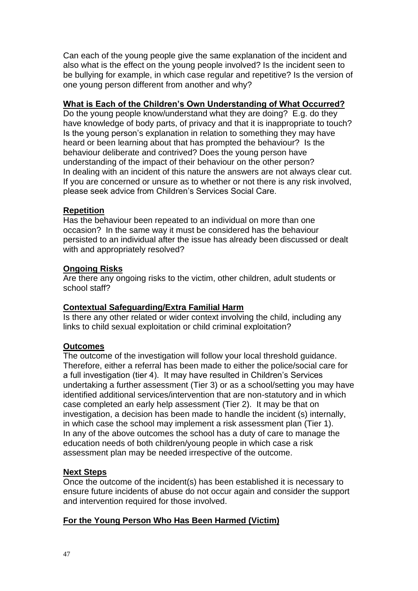Can each of the young people give the same explanation of the incident and also what is the effect on the young people involved? Is the incident seen to be bullying for example, in which case regular and repetitive? Is the version of one young person different from another and why?

#### **What is Each of the Children's Own Understanding of What Occurred?**

Do the young people know/understand what they are doing? E.g. do they have knowledge of body parts, of privacy and that it is inappropriate to touch? Is the young person's explanation in relation to something they may have heard or been learning about that has prompted the behaviour? Is the behaviour deliberate and contrived? Does the young person have understanding of the impact of their behaviour on the other person? In dealing with an incident of this nature the answers are not always clear cut. If you are concerned or unsure as to whether or not there is any risk involved, please seek advice from Children's Services Social Care.

#### **Repetition**

Has the behaviour been repeated to an individual on more than one occasion? In the same way it must be considered has the behaviour persisted to an individual after the issue has already been discussed or dealt with and appropriately resolved?

#### **Ongoing Risks**

Are there any ongoing risks to the victim, other children, adult students or school staff?

#### **Contextual Safeguarding/Extra Familial Harm**

Is there any other related or wider context involving the child, including any links to child sexual exploitation or child criminal exploitation?

#### **Outcomes**

The outcome of the investigation will follow your local threshold guidance. Therefore, either a referral has been made to either the police/social care for a full investigation (tier 4). It may have resulted in Children's Services undertaking a further assessment (Tier 3) or as a school/setting you may have identified additional services/intervention that are non-statutory and in which case completed an early help assessment (Tier 2). It may be that on investigation, a decision has been made to handle the incident (s) internally, in which case the school may implement a risk assessment plan (Tier 1). In any of the above outcomes the school has a duty of care to manage the education needs of both children/young people in which case a risk assessment plan may be needed irrespective of the outcome.

#### **Next Steps**

Once the outcome of the incident(s) has been established it is necessary to ensure future incidents of abuse do not occur again and consider the support and intervention required for those involved.

#### **For the Young Person Who Has Been Harmed (Victim)**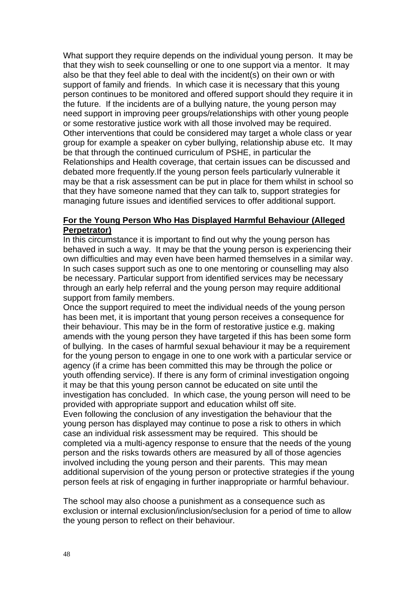What support they require depends on the individual young person. It may be that they wish to seek counselling or one to one support via a mentor. It may also be that they feel able to deal with the incident(s) on their own or with support of family and friends. In which case it is necessary that this young person continues to be monitored and offered support should they require it in the future. If the incidents are of a bullying nature, the young person may need support in improving peer groups/relationships with other young people or some restorative justice work with all those involved may be required. Other interventions that could be considered may target a whole class or year group for example a speaker on cyber bullying, relationship abuse etc. It may be that through the continued curriculum of PSHE, in particular the Relationships and Health coverage, that certain issues can be discussed and debated more frequently.If the young person feels particularly vulnerable it may be that a risk assessment can be put in place for them whilst in school so that they have someone named that they can talk to, support strategies for managing future issues and identified services to offer additional support.

#### **For the Young Person Who Has Displayed Harmful Behaviour (Alleged Perpetrator)**

In this circumstance it is important to find out why the young person has behaved in such a way. It may be that the young person is experiencing their own difficulties and may even have been harmed themselves in a similar way. In such cases support such as one to one mentoring or counselling may also be necessary. Particular support from identified services may be necessary through an early help referral and the young person may require additional support from family members.

Once the support required to meet the individual needs of the young person has been met, it is important that young person receives a consequence for their behaviour. This may be in the form of restorative justice e.g. making amends with the young person they have targeted if this has been some form of bullying. In the cases of harmful sexual behaviour it may be a requirement for the young person to engage in one to one work with a particular service or agency (if a crime has been committed this may be through the police or youth offending service). If there is any form of criminal investigation ongoing it may be that this young person cannot be educated on site until the investigation has concluded. In which case, the young person will need to be provided with appropriate support and education whilst off site. Even following the conclusion of any investigation the behaviour that the young person has displayed may continue to pose a risk to others in which case an individual risk assessment may be required. This should be completed via a multi-agency response to ensure that the needs of the young person and the risks towards others are measured by all of those agencies involved including the young person and their parents. This may mean additional supervision of the young person or protective strategies if the young person feels at risk of engaging in further inappropriate or harmful behaviour.

The school may also choose a punishment as a consequence such as exclusion or internal exclusion/inclusion/seclusion for a period of time to allow the young person to reflect on their behaviour.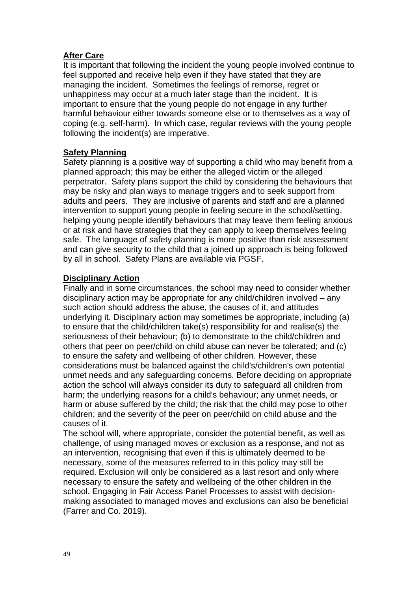#### **After Care**

It is important that following the incident the young people involved continue to feel supported and receive help even if they have stated that they are managing the incident. Sometimes the feelings of remorse, regret or unhappiness may occur at a much later stage than the incident. It is important to ensure that the young people do not engage in any further harmful behaviour either towards someone else or to themselves as a way of coping (e.g. self-harm). In which case, regular reviews with the young people following the incident(s) are imperative.

#### **Safety Planning**

Safety planning is a positive way of supporting a child who may benefit from a planned approach; this may be either the alleged victim or the alleged perpetrator. Safety plans support the child by considering the behaviours that may be risky and plan ways to manage triggers and to seek support from adults and peers. They are inclusive of parents and staff and are a planned intervention to support young people in feeling secure in the school/setting, helping young people identify behaviours that may leave them feeling anxious or at risk and have strategies that they can apply to keep themselves feeling safe. The language of safety planning is more positive than risk assessment and can give security to the child that a joined up approach is being followed by all in school. Safety Plans are available via PGSF.

#### **Disciplinary Action**

Finally and in some circumstances, the school may need to consider whether disciplinary action may be appropriate for any child/children involved – any such action should address the abuse, the causes of it, and attitudes underlying it. Disciplinary action may sometimes be appropriate, including (a) to ensure that the child/children take(s) responsibility for and realise(s) the seriousness of their behaviour; (b) to demonstrate to the child/children and others that peer on peer/child on child abuse can never be tolerated; and (c) to ensure the safety and wellbeing of other children. However, these considerations must be balanced against the child's/children's own potential unmet needs and any safeguarding concerns. Before deciding on appropriate action the school will always consider its duty to safeguard all children from harm; the underlying reasons for a child's behaviour; any unmet needs, or harm or abuse suffered by the child; the risk that the child may pose to other children; and the severity of the peer on peer/child on child abuse and the causes of it.

The school will, where appropriate, consider the potential benefit, as well as challenge, of using managed moves or exclusion as a response, and not as an intervention, recognising that even if this is ultimately deemed to be necessary, some of the measures referred to in this policy may still be required. Exclusion will only be considered as a last resort and only where necessary to ensure the safety and wellbeing of the other children in the school. Engaging in Fair Access Panel Processes to assist with decisionmaking associated to managed moves and exclusions can also be beneficial (Farrer and Co. 2019).